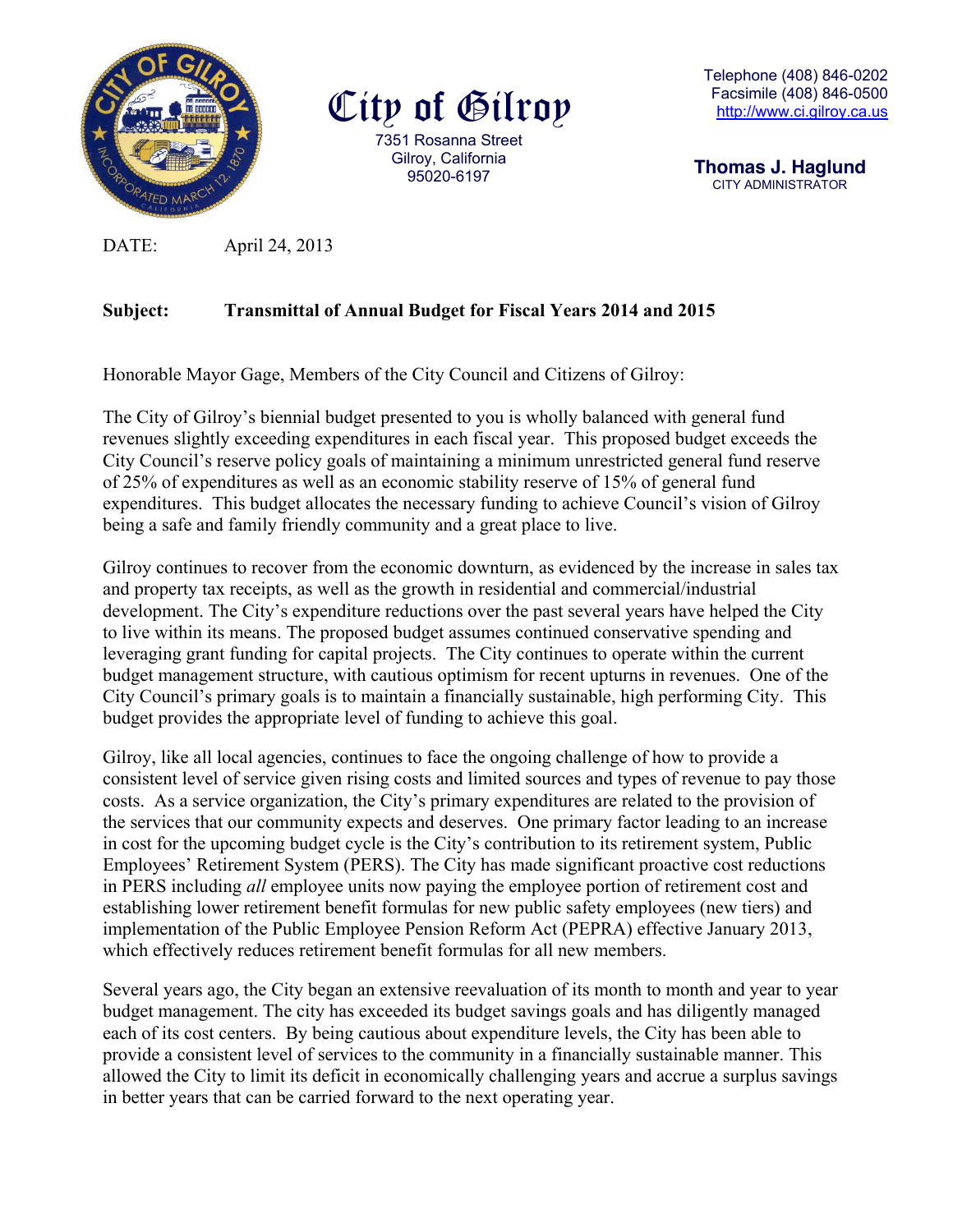

City of Gilroy 7351 Rosanna Street Gilroy, California 95020-6197

 **Thomas J. Haglund**CITY ADMINISTRATOR

DATE: April 24, 2013

# **Subject: Transmittal of Annual Budget for Fiscal Years 2014 and 2015**

Honorable Mayor Gage, Members of the City Council and Citizens of Gilroy:

The City of Gilroy's biennial budget presented to you is wholly balanced with general fund revenues slightly exceeding expenditures in each fiscal year. This proposed budget exceeds the City Council's reserve policy goals of maintaining a minimum unrestricted general fund reserve of 25% of expenditures as well as an economic stability reserve of 15% of general fund expenditures. This budget allocates the necessary funding to achieve Council's vision of Gilroy being a safe and family friendly community and a great place to live.

Gilroy continues to recover from the economic downturn, as evidenced by the increase in sales tax and property tax receipts, as well as the growth in residential and commercial/industrial development. The City's expenditure reductions over the past several years have helped the City to live within its means. The proposed budget assumes continued conservative spending and leveraging grant funding for capital projects. The City continues to operate within the current budget management structure, with cautious optimism for recent upturns in revenues. One of the City Council's primary goals is to maintain a financially sustainable, high performing City. This budget provides the appropriate level of funding to achieve this goal.

Gilroy, like all local agencies, continues to face the ongoing challenge of how to provide a consistent level of service given rising costs and limited sources and types of revenue to pay those costs. As a service organization, the City's primary expenditures are related to the provision of the services that our community expects and deserves. One primary factor leading to an increase in cost for the upcoming budget cycle is the City's contribution to its retirement system, Public Employees' Retirement System (PERS). The City has made significant proactive cost reductions in PERS including *all* employee units now paying the employee portion of retirement cost and establishing lower retirement benefit formulas for new public safety employees (new tiers) and implementation of the Public Employee Pension Reform Act (PEPRA) effective January 2013, which effectively reduces retirement benefit formulas for all new members.

Several years ago, the City began an extensive reevaluation of its month to month and year to year budget management. The city has exceeded its budget savings goals and has diligently managed each of its cost centers. By being cautious about expenditure levels, the City has been able to provide a consistent level of services to the community in a financially sustainable manner. This allowed the City to limit its deficit in economically challenging years and accrue a surplus savings in better years that can be carried forward to the next operating year.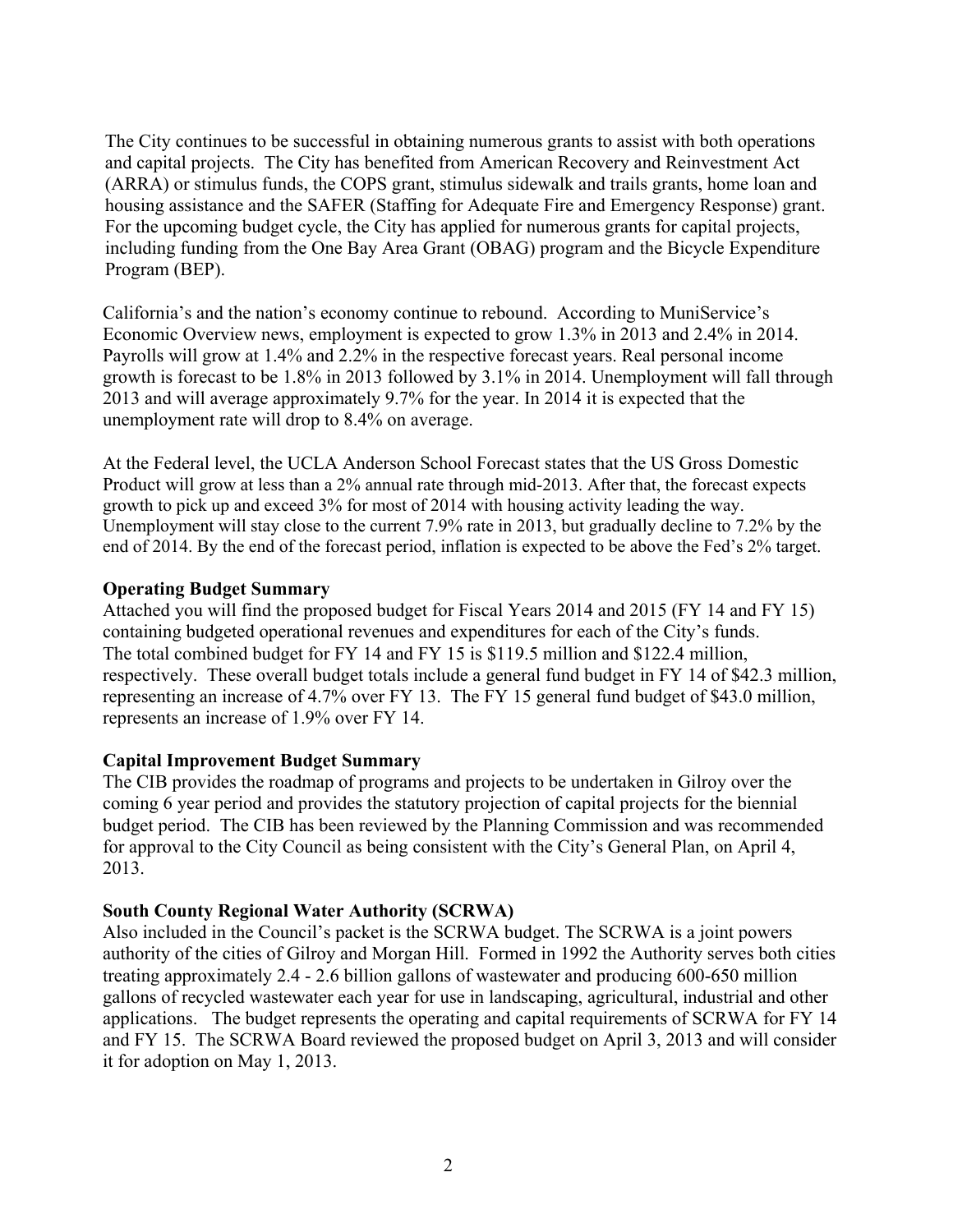The City continues to be successful in obtaining numerous grants to assist with both operations and capital projects. The City has benefited from American Recovery and Reinvestment Act (ARRA) or stimulus funds, the COPS grant, stimulus sidewalk and trails grants, home loan and housing assistance and the SAFER (Staffing for Adequate Fire and Emergency Response) grant. For the upcoming budget cycle, the City has applied for numerous grants for capital projects, including funding from the One Bay Area Grant (OBAG) program and the Bicycle Expenditure Program (BEP).

California's and the nation's economy continue to rebound. According to MuniService's Economic Overview news, employment is expected to grow 1.3% in 2013 and 2.4% in 2014. Payrolls will grow at 1.4% and 2.2% in the respective forecast years. Real personal income growth is forecast to be 1.8% in 2013 followed by 3.1% in 2014. Unemployment will fall through 2013 and will average approximately 9.7% for the year. In 2014 it is expected that the unemployment rate will drop to 8.4% on average.

At the Federal level, the UCLA Anderson School Forecast states that the US Gross Domestic Product will grow at less than a 2% annual rate through mid-2013. After that, the forecast expects growth to pick up and exceed 3% for most of 2014 with housing activity leading the way. Unemployment will stay close to the current 7.9% rate in 2013, but gradually decline to 7.2% by the end of 2014. By the end of the forecast period, inflation is expected to be above the Fed's 2% target.

## **Operating Budget Summary**

Attached you will find the proposed budget for Fiscal Years 2014 and 2015 (FY 14 and FY 15) containing budgeted operational revenues and expenditures for each of the City's funds. The total combined budget for FY 14 and FY 15 is \$119.5 million and \$122.4 million, respectively. These overall budget totals include a general fund budget in FY 14 of \$42.3 million, representing an increase of 4.7% over FY 13. The FY 15 general fund budget of \$43.0 million, represents an increase of 1.9% over FY 14.

# **Capital Improvement Budget Summary**

The CIB provides the roadmap of programs and projects to be undertaken in Gilroy over the coming 6 year period and provides the statutory projection of capital projects for the biennial budget period. The CIB has been reviewed by the Planning Commission and was recommended for approval to the City Council as being consistent with the City's General Plan, on April 4, 2013.

# **South County Regional Water Authority (SCRWA)**

Also included in the Council's packet is the SCRWA budget. The SCRWA is a joint powers authority of the cities of Gilroy and Morgan Hill. Formed in 1992 the Authority serves both cities treating approximately 2.4 - 2.6 billion gallons of wastewater and producing 600-650 million gallons of recycled wastewater each year for use in landscaping, agricultural, industrial and other applications. The budget represents the operating and capital requirements of SCRWA for FY 14 and FY 15. The SCRWA Board reviewed the proposed budget on April 3, 2013 and will consider it for adoption on May 1, 2013.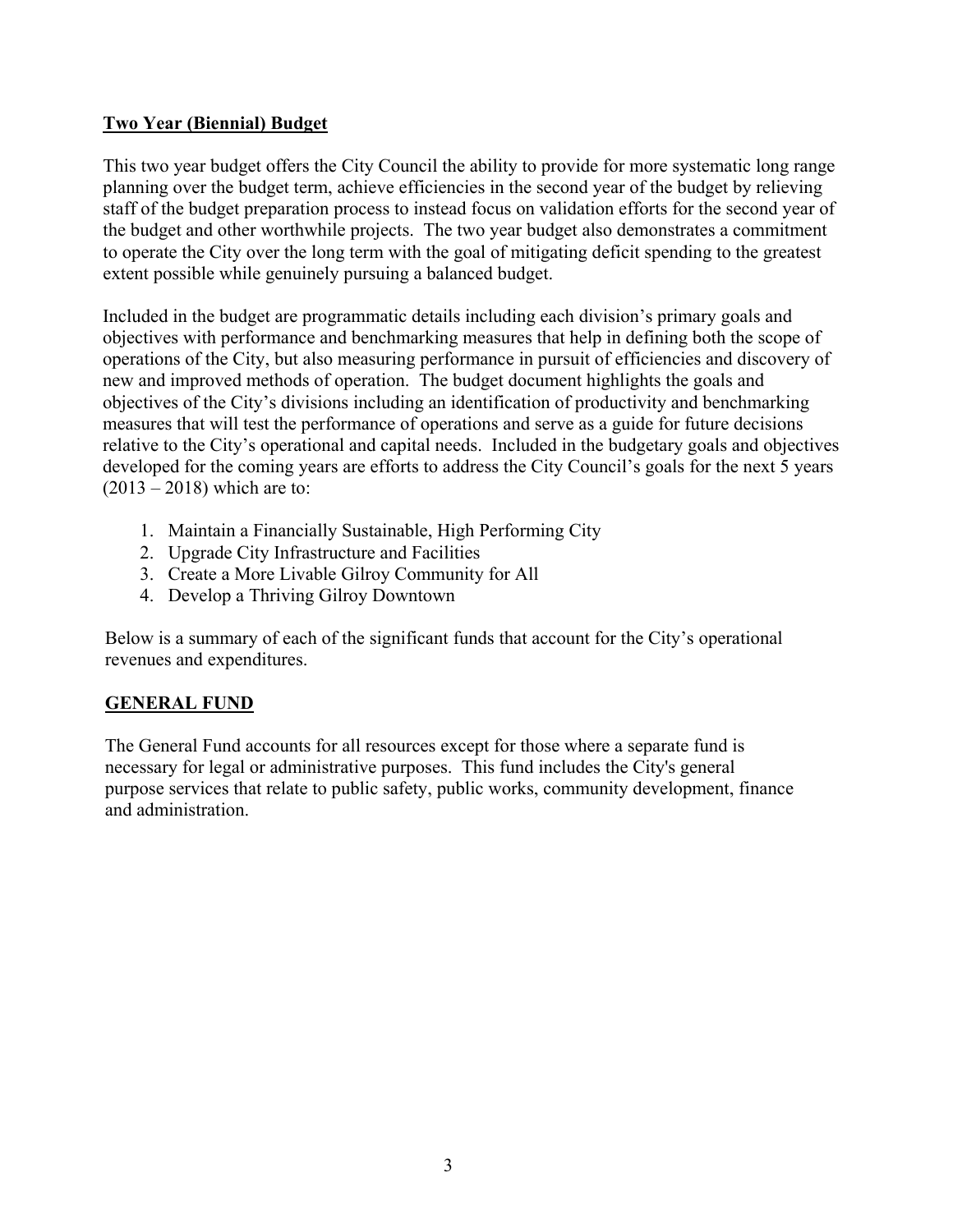# **Two Year (Biennial) Budget**

This two year budget offers the City Council the ability to provide for more systematic long range planning over the budget term, achieve efficiencies in the second year of the budget by relieving staff of the budget preparation process to instead focus on validation efforts for the second year of the budget and other worthwhile projects. The two year budget also demonstrates a commitment to operate the City over the long term with the goal of mitigating deficit spending to the greatest extent possible while genuinely pursuing a balanced budget.

Included in the budget are programmatic details including each division's primary goals and objectives with performance and benchmarking measures that help in defining both the scope of operations of the City, but also measuring performance in pursuit of efficiencies and discovery of new and improved methods of operation. The budget document highlights the goals and objectives of the City's divisions including an identification of productivity and benchmarking measures that will test the performance of operations and serve as a guide for future decisions relative to the City's operational and capital needs. Included in the budgetary goals and objectives developed for the coming years are efforts to address the City Council's goals for the next 5 years  $(2013 - 2018)$  which are to:

- 1. Maintain a Financially Sustainable, High Performing City
- 2. Upgrade City Infrastructure and Facilities
- 3. Create a More Livable Gilroy Community for All
- 4. Develop a Thriving Gilroy Downtown

Below is a summary of each of the significant funds that account for the City's operational revenues and expenditures.

# **GENERAL FUND**

The General Fund accounts for all resources except for those where a separate fund is necessary for legal or administrative purposes. This fund includes the City's general purpose services that relate to public safety, public works, community development, finance and administration.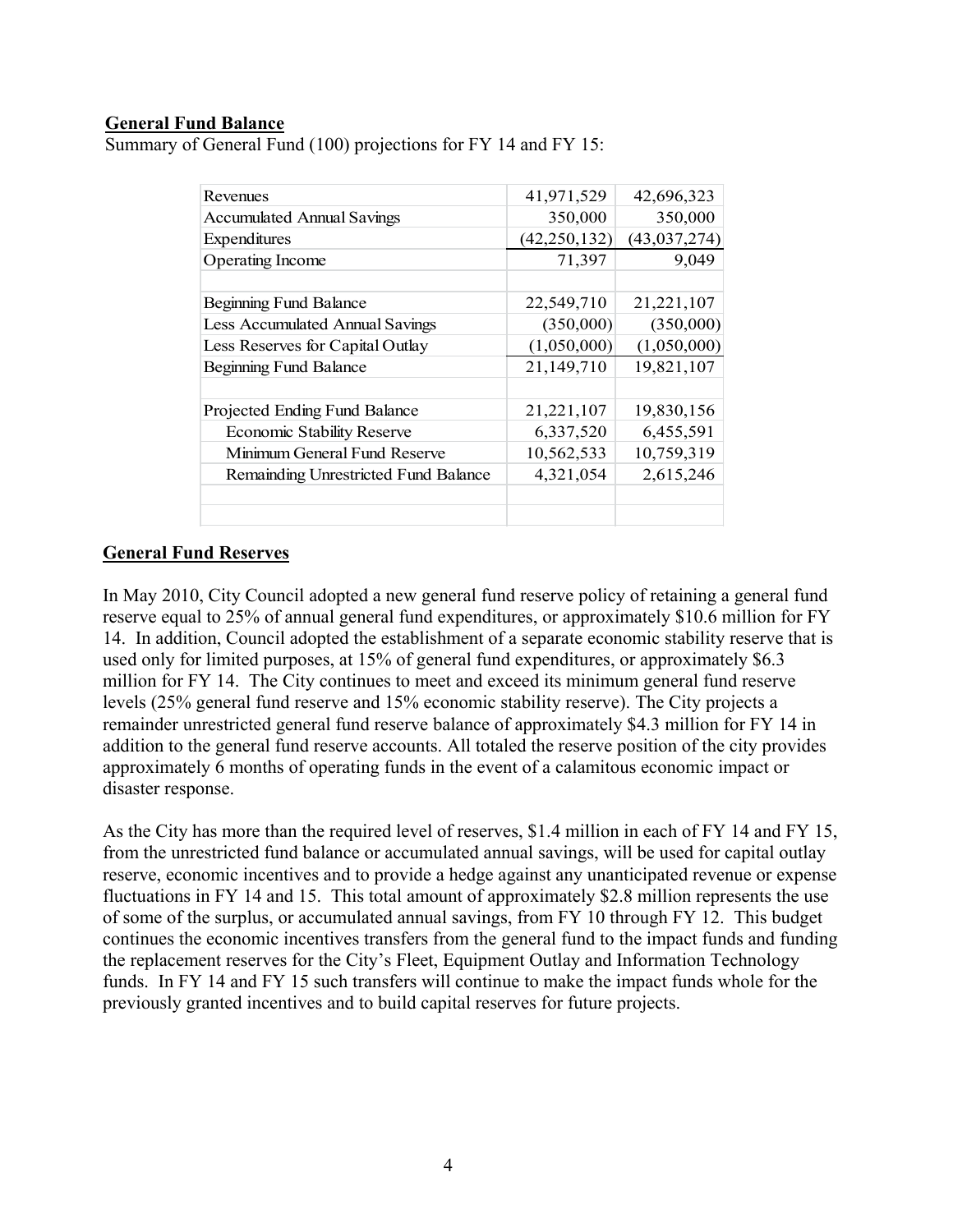## **General Fund Balance**

Summary of General Fund (100) projections for FY 14 and FY 15:

| Revenues                             | 41,971,529     | 42,696,323   |
|--------------------------------------|----------------|--------------|
| <b>Accumulated Annual Savings</b>    | 350,000        | 350,000      |
| Expenditures                         | (42, 250, 132) | (43,037,274) |
| Operating Income                     | 71,397         | 9,049        |
|                                      |                |              |
| Beginning Fund Balance               | 22,549,710     | 21,221,107   |
| Less Accumulated Annual Savings      | (350,000)      | (350,000)    |
| Less Reserves for Capital Outlay     | (1,050,000)    | (1,050,000)  |
| Beginning Fund Balance               | 21,149,710     | 19,821,107   |
|                                      |                |              |
| Projected Ending Fund Balance        | 21,221,107     | 19,830,156   |
| <b>Economic Stability Reserve</b>    | 6,337,520      | 6,455,591    |
| Minimum General Fund Reserve         | 10,562,533     | 10,759,319   |
| Remainding Unrestricted Fund Balance | 4,321,054      | 2,615,246    |
|                                      |                |              |
|                                      |                |              |

#### **General Fund Reserves**

In May 2010, City Council adopted a new general fund reserve policy of retaining a general fund reserve equal to 25% of annual general fund expenditures, or approximately \$10.6 million for FY 14. In addition, Council adopted the establishment of a separate economic stability reserve that is used only for limited purposes, at 15% of general fund expenditures, or approximately \$6.3 million for FY 14. The City continues to meet and exceed its minimum general fund reserve levels (25% general fund reserve and 15% economic stability reserve). The City projects a remainder unrestricted general fund reserve balance of approximately \$4.3 million for FY 14 in addition to the general fund reserve accounts. All totaled the reserve position of the city provides approximately 6 months of operating funds in the event of a calamitous economic impact or disaster response.

As the City has more than the required level of reserves, \$1.4 million in each of FY 14 and FY 15, from the unrestricted fund balance or accumulated annual savings, will be used for capital outlay reserve, economic incentives and to provide a hedge against any unanticipated revenue or expense fluctuations in FY 14 and 15. This total amount of approximately \$2.8 million represents the use of some of the surplus, or accumulated annual savings, from FY 10 through FY 12. This budget continues the economic incentives transfers from the general fund to the impact funds and funding the replacement reserves for the City's Fleet, Equipment Outlay and Information Technology funds. In FY 14 and FY 15 such transfers will continue to make the impact funds whole for the previously granted incentives and to build capital reserves for future projects.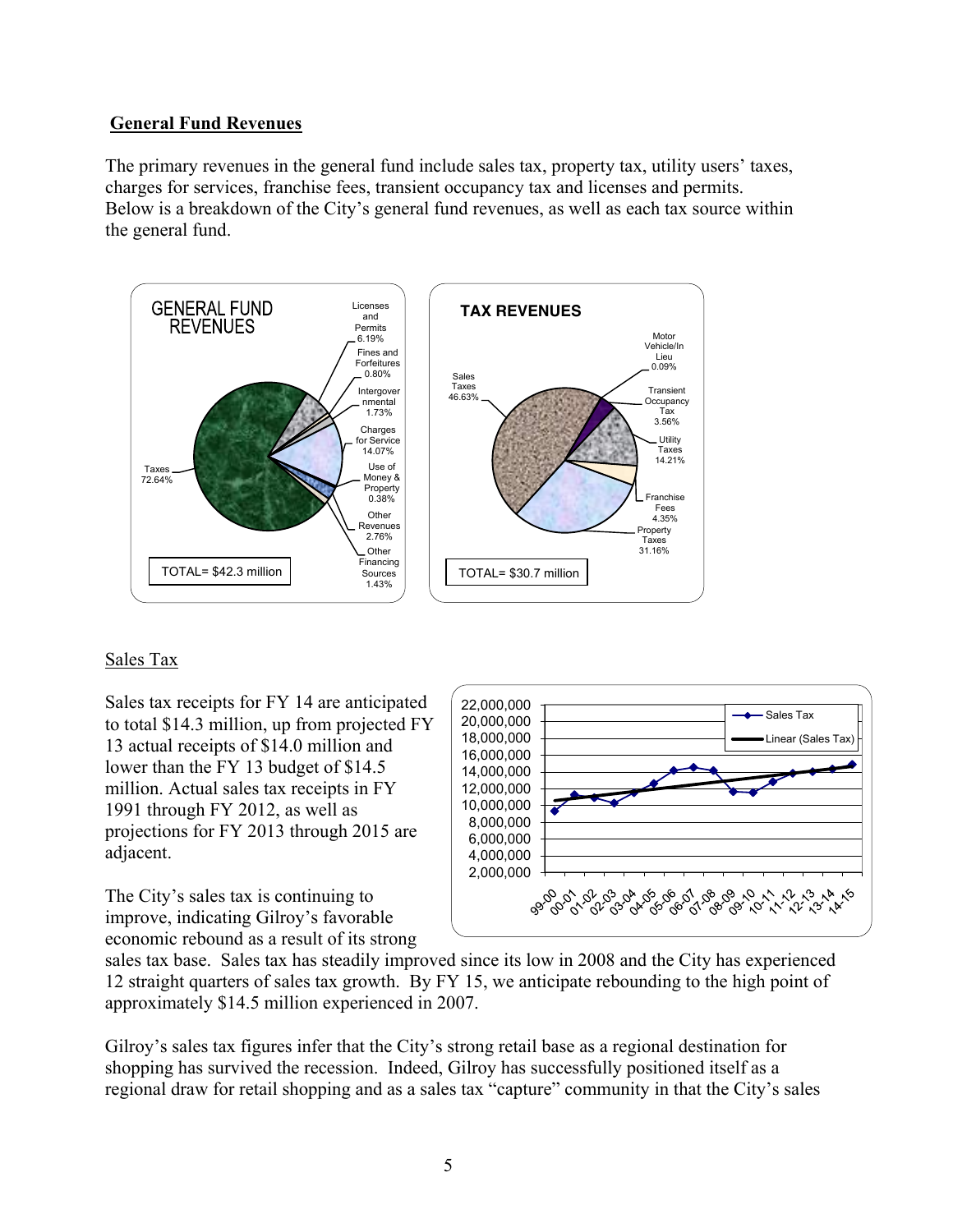## **General Fund Revenues**

The primary revenues in the general fund include sales tax, property tax, utility users' taxes, charges for services, franchise fees, transient occupancy tax and licenses and permits. Below is a breakdown of the City's general fund revenues, as well as each tax source within the general fund.



# Sales Tax

Sales tax receipts for FY 14 are anticipated to total \$14.3 million, up from projected FY 13 actual receipts of \$14.0 million and lower than the FY 13 budget of \$14.5 million. Actual sales tax receipts in FY 1991 through FY 2012, as well as projections for FY 2013 through 2015 are adjacent.

The City's sales tax is continuing to improve, indicating Gilroy's favorable economic rebound as a result of its strong



sales tax base. Sales tax has steadily improved since its low in 2008 and the City has experienced 12 straight quarters of sales tax growth. By FY 15, we anticipate rebounding to the high point of approximately \$14.5 million experienced in 2007.

Gilroy's sales tax figures infer that the City's strong retail base as a regional destination for shopping has survived the recession. Indeed, Gilroy has successfully positioned itself as a regional draw for retail shopping and as a sales tax "capture" community in that the City's sales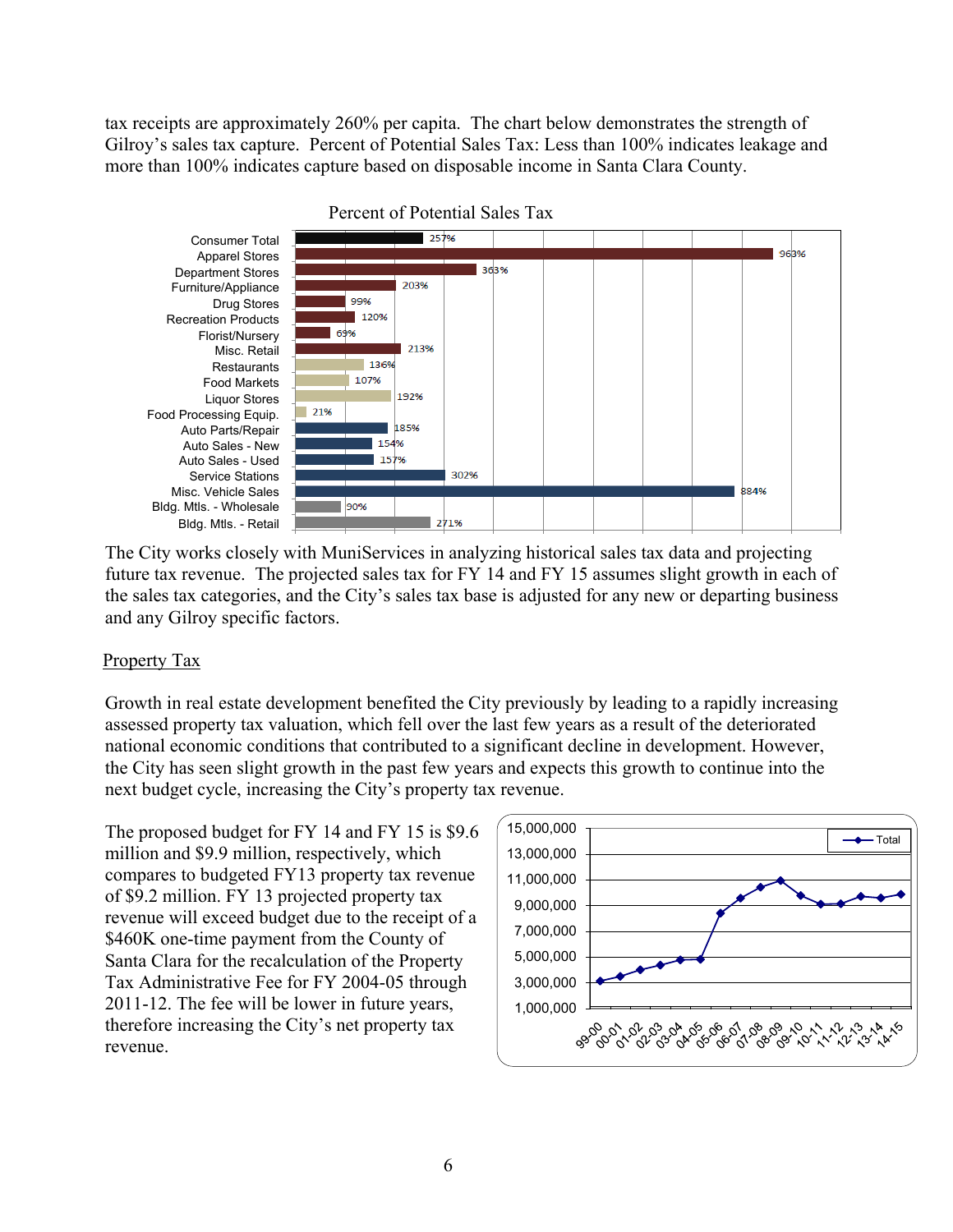tax receipts are approximately 260% per capita. The chart below demonstrates the strength of Gilroy's sales tax capture. Percent of Potential Sales Tax: Less than 100% indicates leakage and more than 100% indicates capture based on disposable income in Santa Clara County.



The City works closely with MuniServices in analyzing historical sales tax data and projecting future tax revenue. The projected sales tax for FY 14 and FY 15 assumes slight growth in each of the sales tax categories, and the City's sales tax base is adjusted for any new or departing business and any Gilroy specific factors.

# Property Tax

Growth in real estate development benefited the City previously by leading to a rapidly increasing assessed property tax valuation, which fell over the last few years as a result of the deteriorated national economic conditions that contributed to a significant decline in development. However, the City has seen slight growth in the past few years and expects this growth to continue into the next budget cycle, increasing the City's property tax revenue.

The proposed budget for FY 14 and FY 15 is \$9.6 million and \$9.9 million, respectively, which compares to budgeted FY13 property tax revenue of \$9.2 million. FY 13 projected property tax revenue will exceed budget due to the receipt of a \$460K one-time payment from the County of Santa Clara for the recalculation of the Property Tax Administrative Fee for FY 2004-05 through 2011-12. The fee will be lower in future years, therefore increasing the City's net property tax revenue.

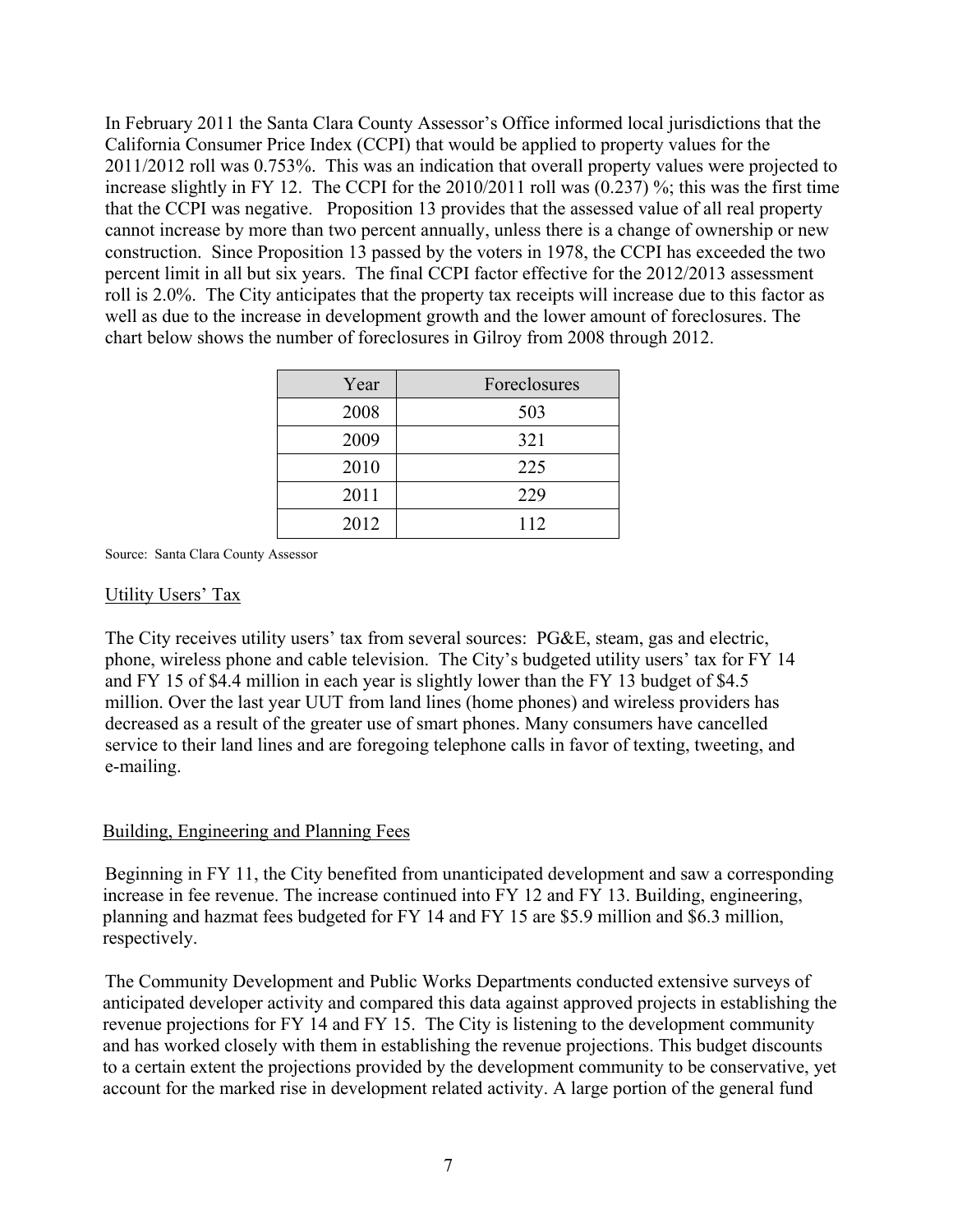In February 2011 the Santa Clara County Assessor's Office informed local jurisdictions that the California Consumer Price Index (CCPI) that would be applied to property values for the 2011/2012 roll was 0.753%. This was an indication that overall property values were projected to increase slightly in FY 12. The CCPI for the 2010/2011 roll was (0.237) %; this was the first time that the CCPI was negative. Proposition 13 provides that the assessed value of all real property cannot increase by more than two percent annually, unless there is a change of ownership or new construction. Since Proposition 13 passed by the voters in 1978, the CCPI has exceeded the two percent limit in all but six years. The final CCPI factor effective for the 2012/2013 assessment roll is 2.0%. The City anticipates that the property tax receipts will increase due to this factor as well as due to the increase in development growth and the lower amount of foreclosures. The chart below shows the number of foreclosures in Gilroy from 2008 through 2012.

| Year | Foreclosures |
|------|--------------|
| 2008 | 503          |
| 2009 | 321          |
| 2010 | 225          |
| 2011 | 229          |
| 2012 | 112          |

Source: Santa Clara County Assessor

#### Utility Users' Tax

The City receives utility users' tax from several sources: PG&E, steam, gas and electric, phone, wireless phone and cable television. The City's budgeted utility users' tax for FY 14 and FY 15 of \$4.4 million in each year is slightly lower than the FY 13 budget of \$4.5 million. Over the last year UUT from land lines (home phones) and wireless providers has decreased as a result of the greater use of smart phones. Many consumers have cancelled service to their land lines and are foregoing telephone calls in favor of texting, tweeting, and e-mailing.

#### Building, Engineering and Planning Fees

Beginning in FY 11, the City benefited from unanticipated development and saw a corresponding increase in fee revenue. The increase continued into FY 12 and FY 13. Building, engineering, planning and hazmat fees budgeted for FY 14 and FY 15 are \$5.9 million and \$6.3 million, respectively.

The Community Development and Public Works Departments conducted extensive surveys of anticipated developer activity and compared this data against approved projects in establishing the revenue projections for FY 14 and FY 15. The City is listening to the development community and has worked closely with them in establishing the revenue projections. This budget discounts to a certain extent the projections provided by the development community to be conservative, yet account for the marked rise in development related activity. A large portion of the general fund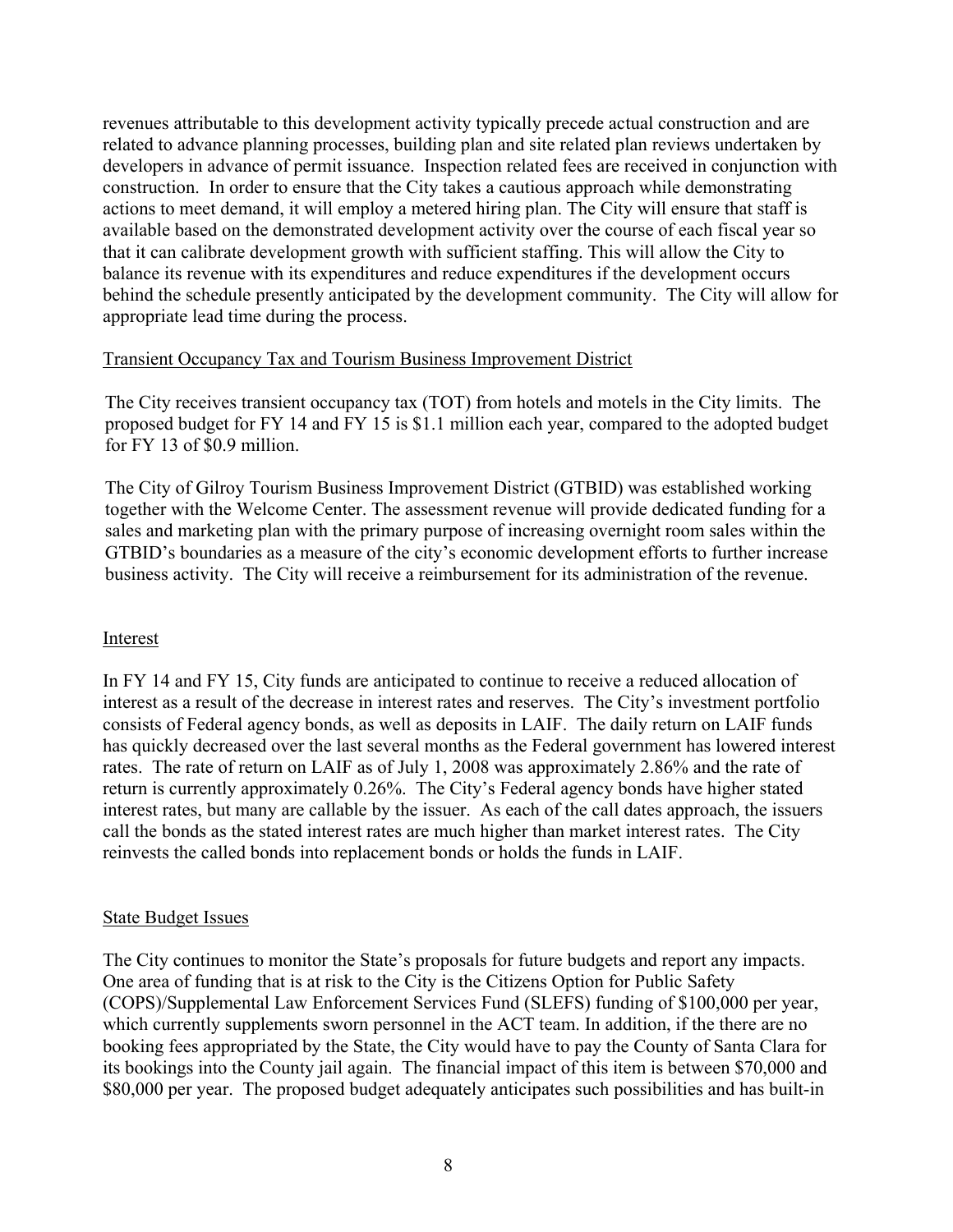revenues attributable to this development activity typically precede actual construction and are related to advance planning processes, building plan and site related plan reviews undertaken by developers in advance of permit issuance. Inspection related fees are received in conjunction with construction. In order to ensure that the City takes a cautious approach while demonstrating actions to meet demand, it will employ a metered hiring plan. The City will ensure that staff is available based on the demonstrated development activity over the course of each fiscal year so that it can calibrate development growth with sufficient staffing. This will allow the City to balance its revenue with its expenditures and reduce expenditures if the development occurs behind the schedule presently anticipated by the development community. The City will allow for appropriate lead time during the process.

# Transient Occupancy Tax and Tourism Business Improvement District

The City receives transient occupancy tax (TOT) from hotels and motels in the City limits. The proposed budget for FY 14 and FY 15 is \$1.1 million each year, compared to the adopted budget for FY 13 of \$0.9 million.

The City of Gilroy Tourism Business Improvement District (GTBID) was established working together with the Welcome Center. The assessment revenue will provide dedicated funding for a sales and marketing plan with the primary purpose of increasing overnight room sales within the GTBID's boundaries as a measure of the city's economic development efforts to further increase business activity. The City will receive a reimbursement for its administration of the revenue.

# Interest

In FY 14 and FY 15, City funds are anticipated to continue to receive a reduced allocation of interest as a result of the decrease in interest rates and reserves. The City's investment portfolio consists of Federal agency bonds, as well as deposits in LAIF. The daily return on LAIF funds has quickly decreased over the last several months as the Federal government has lowered interest rates. The rate of return on LAIF as of July 1, 2008 was approximately 2.86% and the rate of return is currently approximately 0.26%. The City's Federal agency bonds have higher stated interest rates, but many are callable by the issuer. As each of the call dates approach, the issuers call the bonds as the stated interest rates are much higher than market interest rates. The City reinvests the called bonds into replacement bonds or holds the funds in LAIF.

# State Budget Issues

The City continues to monitor the State's proposals for future budgets and report any impacts. One area of funding that is at risk to the City is the Citizens Option for Public Safety (COPS)/Supplemental Law Enforcement Services Fund (SLEFS) funding of \$100,000 per year, which currently supplements sworn personnel in the ACT team. In addition, if the there are no booking fees appropriated by the State, the City would have to pay the County of Santa Clara for its bookings into the County jail again. The financial impact of this item is between \$70,000 and \$80,000 per year. The proposed budget adequately anticipates such possibilities and has built-in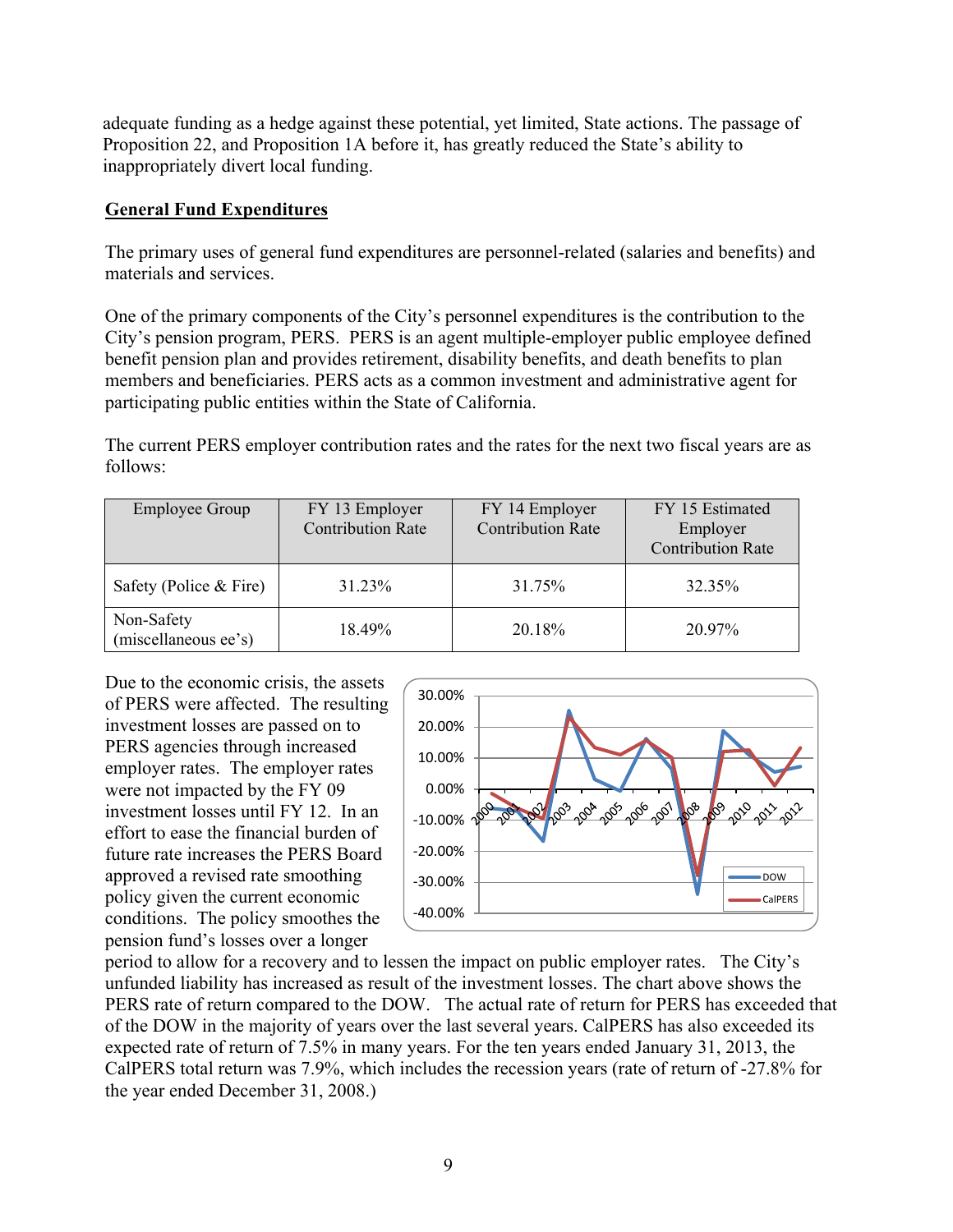adequate funding as a hedge against these potential, yet limited, State actions. The passage of Proposition 22, and Proposition 1A before it, has greatly reduced the State's ability to inappropriately divert local funding.

## **General Fund Expenditures**

The primary uses of general fund expenditures are personnel-related (salaries and benefits) and materials and services.

One of the primary components of the City's personnel expenditures is the contribution to the City's pension program, PERS. PERS is an agent multiple-employer public employee defined benefit pension plan and provides retirement, disability benefits, and death benefits to plan members and beneficiaries. PERS acts as a common investment and administrative agent for participating public entities within the State of California.

The current PERS employer contribution rates and the rates for the next two fiscal years are as follows:

| <b>Employee Group</b>              | FY 13 Employer<br><b>Contribution Rate</b> | FY 14 Employer<br><b>Contribution Rate</b> | FY 15 Estimated<br>Employer<br><b>Contribution Rate</b> |
|------------------------------------|--------------------------------------------|--------------------------------------------|---------------------------------------------------------|
| Safety (Police $&$ Fire)           | 31.23%                                     | 31.75%                                     | 32.35%                                                  |
| Non-Safety<br>(miscellaneous ee's) | 18.49%                                     | 20.18%                                     | 20.97%                                                  |

Due to the economic crisis, the assets of PERS were affected. The resulting investment losses are passed on to PERS agencies through increased employer rates. The employer rates were not impacted by the FY 09 investment losses until FY 12. In an effort to ease the financial burden of future rate increases the PERS Board approved a revised rate smoothing policy given the current economic conditions. The policy smoothes the pension fund's losses over a longer



period to allow for a recovery and to lessen the impact on public employer rates. The City's unfunded liability has increased as result of the investment losses. The chart above shows the PERS rate of return compared to the DOW. The actual rate of return for PERS has exceeded that of the DOW in the majority of years over the last several years. CalPERS has also exceeded its expected rate of return of 7.5% in many years. For the ten years ended January 31, 2013, the CalPERS total return was 7.9%, which includes the recession years (rate of return of -27.8% for the year ended December 31, 2008.)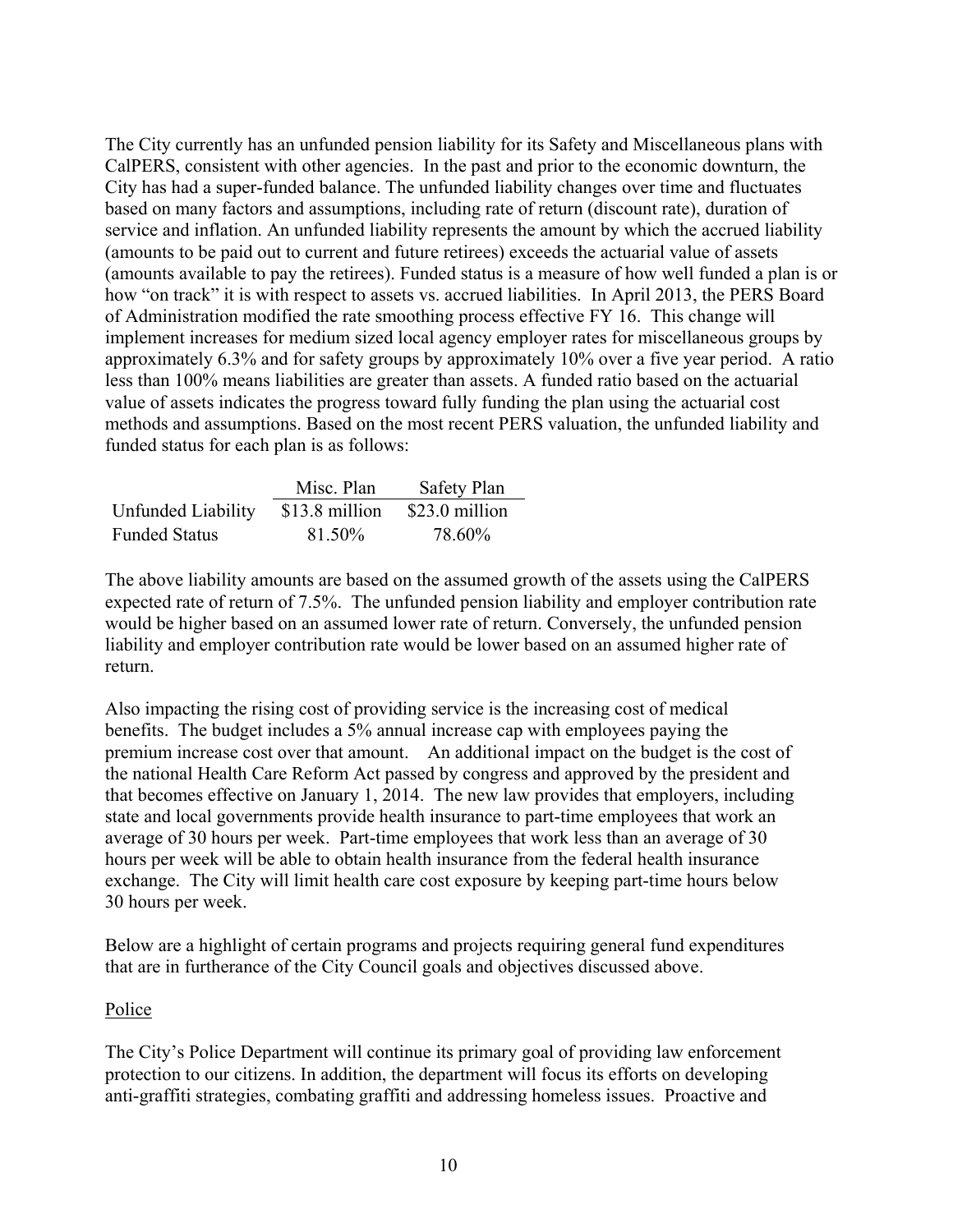The City currently has an unfunded pension liability for its Safety and Miscellaneous plans with CalPERS, consistent with other agencies. In the past and prior to the economic downturn, the City has had a super-funded balance. The unfunded liability changes over time and fluctuates based on many factors and assumptions, including rate of return (discount rate), duration of service and inflation. An unfunded liability represents the amount by which the accrued liability (amounts to be paid out to current and future retirees) exceeds the actuarial value of assets (amounts available to pay the retirees). Funded status is a measure of how well funded a plan is or how "on track" it is with respect to assets vs. accrued liabilities. In April 2013, the PERS Board of Administration modified the rate smoothing process effective FY 16. This change will implement increases for medium sized local agency employer rates for miscellaneous groups by approximately 6.3% and for safety groups by approximately 10% over a five year period. A ratio less than 100% means liabilities are greater than assets. A funded ratio based on the actuarial value of assets indicates the progress toward fully funding the plan using the actuarial cost methods and assumptions. Based on the most recent PERS valuation, the unfunded liability and funded status for each plan is as follows:

|                      | Misc. Plan     | <b>Safety Plan</b> |
|----------------------|----------------|--------------------|
| Unfunded Liability   | \$13.8 million | \$23.0 million     |
| <b>Funded Status</b> | 81.50%         | 78.60%             |

The above liability amounts are based on the assumed growth of the assets using the CalPERS expected rate of return of 7.5%. The unfunded pension liability and employer contribution rate would be higher based on an assumed lower rate of return. Conversely, the unfunded pension liability and employer contribution rate would be lower based on an assumed higher rate of return.

Also impacting the rising cost of providing service is the increasing cost of medical benefits. The budget includes a 5% annual increase cap with employees paying the premium increase cost over that amount. An additional impact on the budget is the cost of the national Health Care Reform Act passed by congress and approved by the president and that becomes effective on January 1, 2014. The new law provides that employers, including state and local governments provide health insurance to part-time employees that work an average of 30 hours per week. Part-time employees that work less than an average of 30 hours per week will be able to obtain health insurance from the federal health insurance exchange. The City will limit health care cost exposure by keeping part-time hours below 30 hours per week.

Below are a highlight of certain programs and projects requiring general fund expenditures that are in furtherance of the City Council goals and objectives discussed above.

# Police

The City's Police Department will continue its primary goal of providing law enforcement protection to our citizens. In addition, the department will focus its efforts on developing anti-graffiti strategies, combating graffiti and addressing homeless issues. Proactive and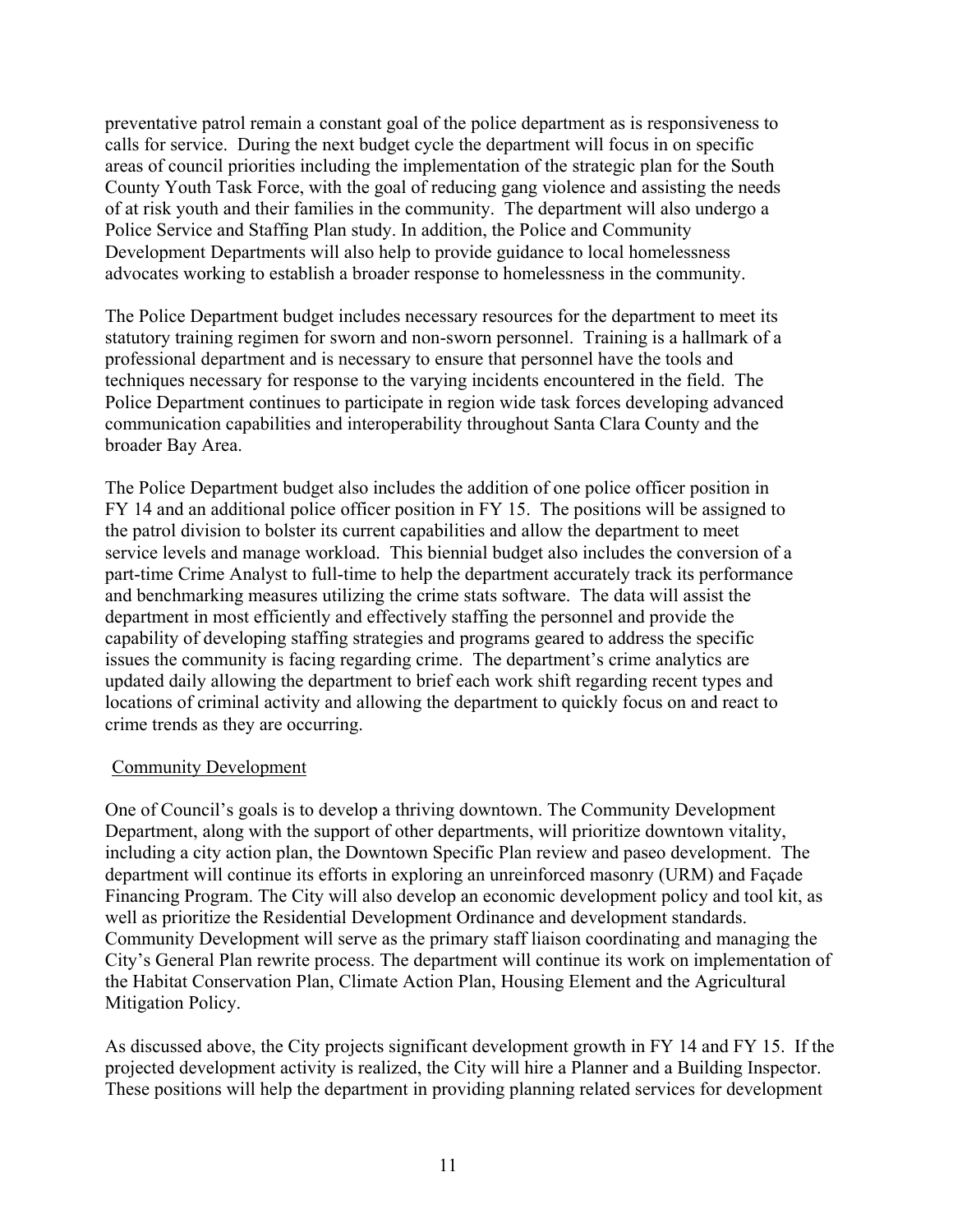preventative patrol remain a constant goal of the police department as is responsiveness to calls for service. During the next budget cycle the department will focus in on specific areas of council priorities including the implementation of the strategic plan for the South County Youth Task Force, with the goal of reducing gang violence and assisting the needs of at risk youth and their families in the community. The department will also undergo a Police Service and Staffing Plan study. In addition, the Police and Community Development Departments will also help to provide guidance to local homelessness advocates working to establish a broader response to homelessness in the community.

The Police Department budget includes necessary resources for the department to meet its statutory training regimen for sworn and non-sworn personnel. Training is a hallmark of a professional department and is necessary to ensure that personnel have the tools and techniques necessary for response to the varying incidents encountered in the field. The Police Department continues to participate in region wide task forces developing advanced communication capabilities and interoperability throughout Santa Clara County and the broader Bay Area.

The Police Department budget also includes the addition of one police officer position in FY 14 and an additional police officer position in FY 15. The positions will be assigned to the patrol division to bolster its current capabilities and allow the department to meet service levels and manage workload. This biennial budget also includes the conversion of a part-time Crime Analyst to full-time to help the department accurately track its performance and benchmarking measures utilizing the crime stats software. The data will assist the department in most efficiently and effectively staffing the personnel and provide the capability of developing staffing strategies and programs geared to address the specific issues the community is facing regarding crime. The department's crime analytics are updated daily allowing the department to brief each work shift regarding recent types and locations of criminal activity and allowing the department to quickly focus on and react to crime trends as they are occurring.

# Community Development

One of Council's goals is to develop a thriving downtown. The Community Development Department, along with the support of other departments, will prioritize downtown vitality, including a city action plan, the Downtown Specific Plan review and paseo development. The department will continue its efforts in exploring an unreinforced masonry (URM) and Façade Financing Program. The City will also develop an economic development policy and tool kit, as well as prioritize the Residential Development Ordinance and development standards. Community Development will serve as the primary staff liaison coordinating and managing the City's General Plan rewrite process. The department will continue its work on implementation of the Habitat Conservation Plan, Climate Action Plan, Housing Element and the Agricultural Mitigation Policy.

As discussed above, the City projects significant development growth in FY 14 and FY 15. If the projected development activity is realized, the City will hire a Planner and a Building Inspector. These positions will help the department in providing planning related services for development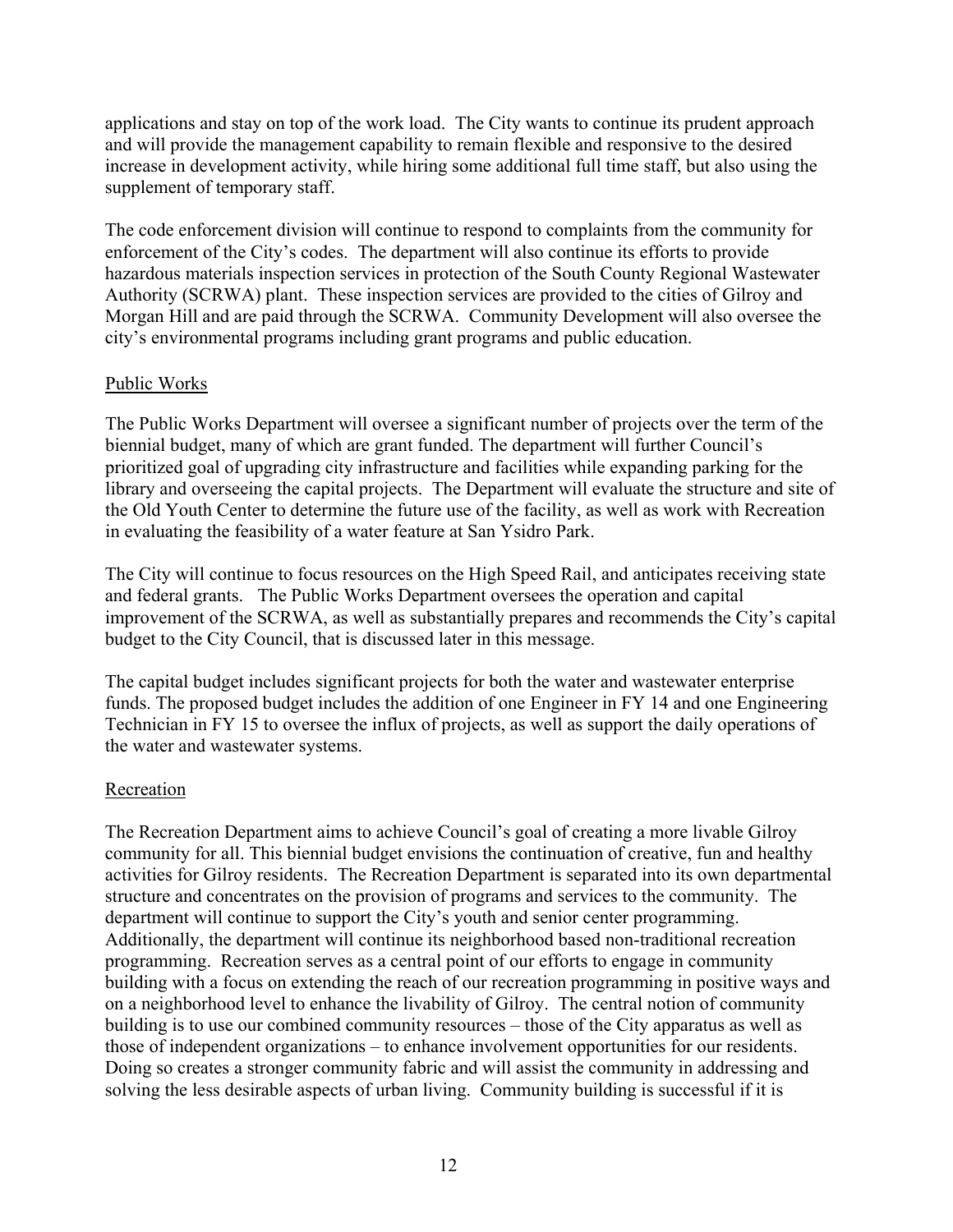applications and stay on top of the work load. The City wants to continue its prudent approach and will provide the management capability to remain flexible and responsive to the desired increase in development activity, while hiring some additional full time staff, but also using the supplement of temporary staff.

The code enforcement division will continue to respond to complaints from the community for enforcement of the City's codes. The department will also continue its efforts to provide hazardous materials inspection services in protection of the South County Regional Wastewater Authority (SCRWA) plant. These inspection services are provided to the cities of Gilroy and Morgan Hill and are paid through the SCRWA. Community Development will also oversee the city's environmental programs including grant programs and public education.

# Public Works

The Public Works Department will oversee a significant number of projects over the term of the biennial budget, many of which are grant funded. The department will further Council's prioritized goal of upgrading city infrastructure and facilities while expanding parking for the library and overseeing the capital projects. The Department will evaluate the structure and site of the Old Youth Center to determine the future use of the facility, as well as work with Recreation in evaluating the feasibility of a water feature at San Ysidro Park.

The City will continue to focus resources on the High Speed Rail, and anticipates receiving state and federal grants. The Public Works Department oversees the operation and capital improvement of the SCRWA, as well as substantially prepares and recommends the City's capital budget to the City Council, that is discussed later in this message.

The capital budget includes significant projects for both the water and wastewater enterprise funds. The proposed budget includes the addition of one Engineer in FY 14 and one Engineering Technician in FY 15 to oversee the influx of projects, as well as support the daily operations of the water and wastewater systems.

# Recreation

The Recreation Department aims to achieve Council's goal of creating a more livable Gilroy community for all. This biennial budget envisions the continuation of creative, fun and healthy activities for Gilroy residents. The Recreation Department is separated into its own departmental structure and concentrates on the provision of programs and services to the community. The department will continue to support the City's youth and senior center programming. Additionally, the department will continue its neighborhood based non-traditional recreation programming. Recreation serves as a central point of our efforts to engage in community building with a focus on extending the reach of our recreation programming in positive ways and on a neighborhood level to enhance the livability of Gilroy. The central notion of community building is to use our combined community resources – those of the City apparatus as well as those of independent organizations – to enhance involvement opportunities for our residents. Doing so creates a stronger community fabric and will assist the community in addressing and solving the less desirable aspects of urban living. Community building is successful if it is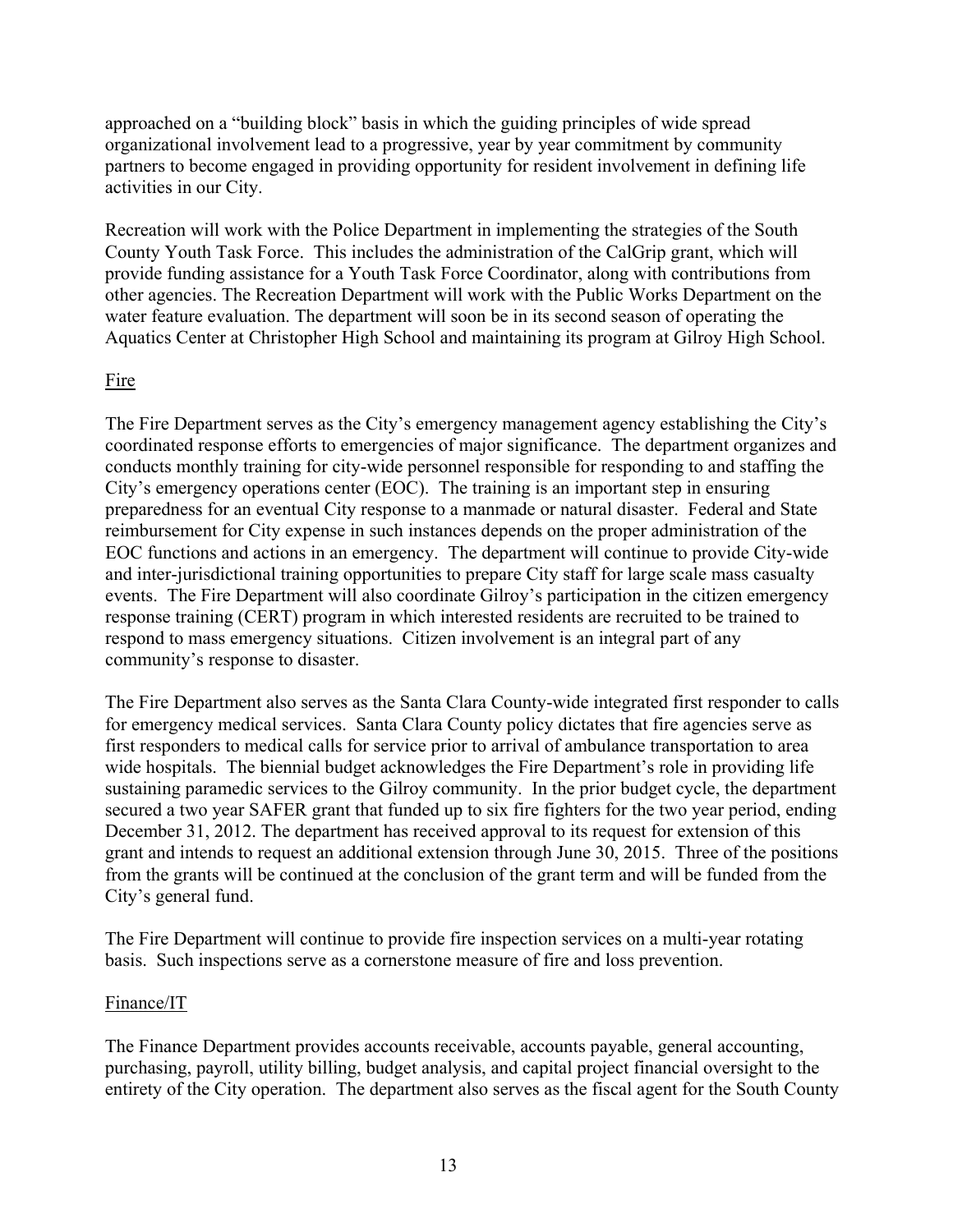approached on a "building block" basis in which the guiding principles of wide spread organizational involvement lead to a progressive, year by year commitment by community partners to become engaged in providing opportunity for resident involvement in defining life activities in our City.

Recreation will work with the Police Department in implementing the strategies of the South County Youth Task Force. This includes the administration of the CalGrip grant, which will provide funding assistance for a Youth Task Force Coordinator, along with contributions from other agencies. The Recreation Department will work with the Public Works Department on the water feature evaluation. The department will soon be in its second season of operating the Aquatics Center at Christopher High School and maintaining its program at Gilroy High School.

# Fire

The Fire Department serves as the City's emergency management agency establishing the City's coordinated response efforts to emergencies of major significance. The department organizes and conducts monthly training for city-wide personnel responsible for responding to and staffing the City's emergency operations center (EOC). The training is an important step in ensuring preparedness for an eventual City response to a manmade or natural disaster. Federal and State reimbursement for City expense in such instances depends on the proper administration of the EOC functions and actions in an emergency. The department will continue to provide City-wide and inter-jurisdictional training opportunities to prepare City staff for large scale mass casualty events. The Fire Department will also coordinate Gilroy's participation in the citizen emergency response training (CERT) program in which interested residents are recruited to be trained to respond to mass emergency situations. Citizen involvement is an integral part of any community's response to disaster.

The Fire Department also serves as the Santa Clara County-wide integrated first responder to calls for emergency medical services. Santa Clara County policy dictates that fire agencies serve as first responders to medical calls for service prior to arrival of ambulance transportation to area wide hospitals. The biennial budget acknowledges the Fire Department's role in providing life sustaining paramedic services to the Gilroy community. In the prior budget cycle, the department secured a two year SAFER grant that funded up to six fire fighters for the two year period, ending December 31, 2012. The department has received approval to its request for extension of this grant and intends to request an additional extension through June 30, 2015. Three of the positions from the grants will be continued at the conclusion of the grant term and will be funded from the City's general fund.

The Fire Department will continue to provide fire inspection services on a multi-year rotating basis. Such inspections serve as a cornerstone measure of fire and loss prevention.

# Finance/IT

The Finance Department provides accounts receivable, accounts payable, general accounting, purchasing, payroll, utility billing, budget analysis, and capital project financial oversight to the entirety of the City operation. The department also serves as the fiscal agent for the South County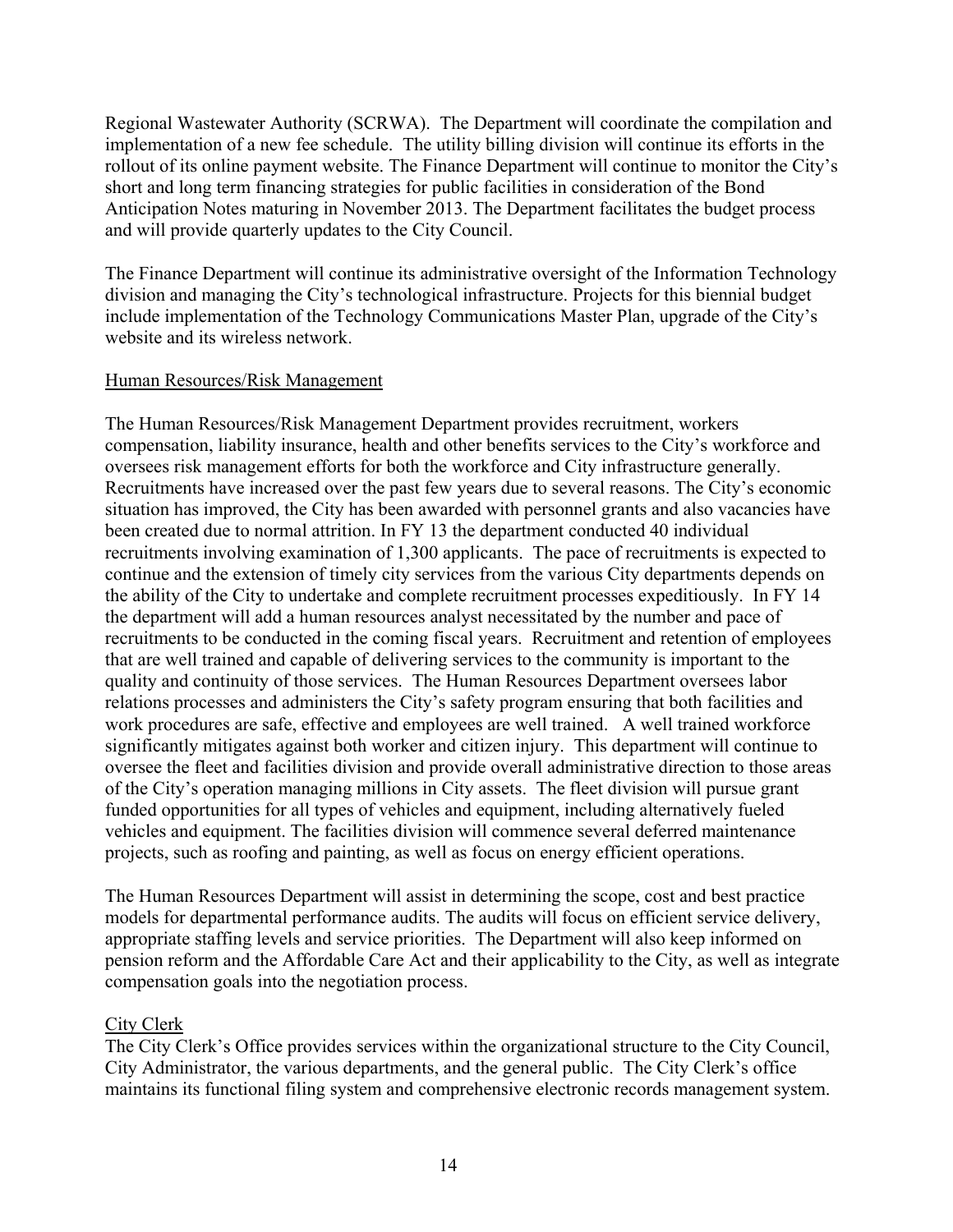Regional Wastewater Authority (SCRWA). The Department will coordinate the compilation and implementation of a new fee schedule. The utility billing division will continue its efforts in the rollout of its online payment website. The Finance Department will continue to monitor the City's short and long term financing strategies for public facilities in consideration of the Bond Anticipation Notes maturing in November 2013. The Department facilitates the budget process and will provide quarterly updates to the City Council.

The Finance Department will continue its administrative oversight of the Information Technology division and managing the City's technological infrastructure. Projects for this biennial budget include implementation of the Technology Communications Master Plan, upgrade of the City's website and its wireless network.

## Human Resources/Risk Management

The Human Resources/Risk Management Department provides recruitment, workers compensation, liability insurance, health and other benefits services to the City's workforce and oversees risk management efforts for both the workforce and City infrastructure generally. Recruitments have increased over the past few years due to several reasons. The City's economic situation has improved, the City has been awarded with personnel grants and also vacancies have been created due to normal attrition. In FY 13 the department conducted 40 individual recruitments involving examination of 1,300 applicants. The pace of recruitments is expected to continue and the extension of timely city services from the various City departments depends on the ability of the City to undertake and complete recruitment processes expeditiously. In FY 14 the department will add a human resources analyst necessitated by the number and pace of recruitments to be conducted in the coming fiscal years. Recruitment and retention of employees that are well trained and capable of delivering services to the community is important to the quality and continuity of those services. The Human Resources Department oversees labor relations processes and administers the City's safety program ensuring that both facilities and work procedures are safe, effective and employees are well trained. A well trained workforce significantly mitigates against both worker and citizen injury. This department will continue to oversee the fleet and facilities division and provide overall administrative direction to those areas of the City's operation managing millions in City assets. The fleet division will pursue grant funded opportunities for all types of vehicles and equipment, including alternatively fueled vehicles and equipment. The facilities division will commence several deferred maintenance projects, such as roofing and painting, as well as focus on energy efficient operations.

The Human Resources Department will assist in determining the scope, cost and best practice models for departmental performance audits. The audits will focus on efficient service delivery, appropriate staffing levels and service priorities. The Department will also keep informed on pension reform and the Affordable Care Act and their applicability to the City, as well as integrate compensation goals into the negotiation process.

#### City Clerk

The City Clerk's Office provides services within the organizational structure to the City Council, City Administrator, the various departments, and the general public. The City Clerk's office maintains its functional filing system and comprehensive electronic records management system.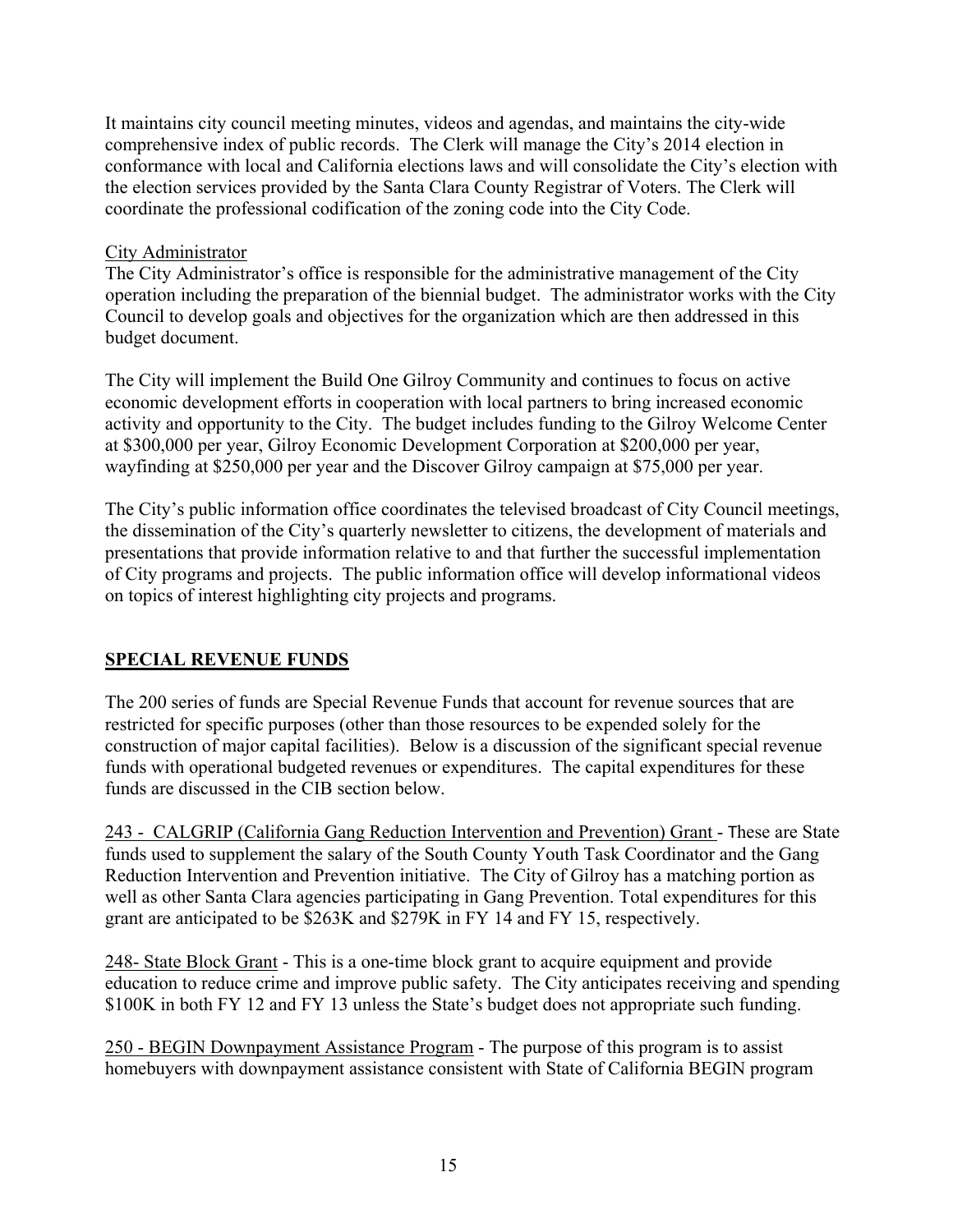It maintains city council meeting minutes, videos and agendas, and maintains the city-wide comprehensive index of public records. The Clerk will manage the City's 2014 election in conformance with local and California elections laws and will consolidate the City's election with the election services provided by the Santa Clara County Registrar of Voters. The Clerk will coordinate the professional codification of the zoning code into the City Code.

# City Administrator

The City Administrator's office is responsible for the administrative management of the City operation including the preparation of the biennial budget. The administrator works with the City Council to develop goals and objectives for the organization which are then addressed in this budget document.

The City will implement the Build One Gilroy Community and continues to focus on active economic development efforts in cooperation with local partners to bring increased economic activity and opportunity to the City. The budget includes funding to the Gilroy Welcome Center at \$300,000 per year, Gilroy Economic Development Corporation at \$200,000 per year, wayfinding at \$250,000 per year and the Discover Gilroy campaign at \$75,000 per year.

The City's public information office coordinates the televised broadcast of City Council meetings, the dissemination of the City's quarterly newsletter to citizens, the development of materials and presentations that provide information relative to and that further the successful implementation of City programs and projects. The public information office will develop informational videos on topics of interest highlighting city projects and programs.

# **SPECIAL REVENUE FUNDS**

The 200 series of funds are Special Revenue Funds that account for revenue sources that are restricted for specific purposes (other than those resources to be expended solely for the construction of major capital facilities). Below is a discussion of the significant special revenue funds with operational budgeted revenues or expenditures. The capital expenditures for these funds are discussed in the CIB section below.

243 - CALGRIP (California Gang Reduction Intervention and Prevention) Grant - These are State funds used to supplement the salary of the South County Youth Task Coordinator and the Gang Reduction Intervention and Prevention initiative. The City of Gilroy has a matching portion as well as other Santa Clara agencies participating in Gang Prevention. Total expenditures for this grant are anticipated to be \$263K and \$279K in FY 14 and FY 15, respectively.

248- State Block Grant - This is a one-time block grant to acquire equipment and provide education to reduce crime and improve public safety. The City anticipates receiving and spending \$100K in both FY 12 and FY 13 unless the State's budget does not appropriate such funding.

250 - BEGIN Downpayment Assistance Program - The purpose of this program is to assist homebuyers with downpayment assistance consistent with State of California BEGIN program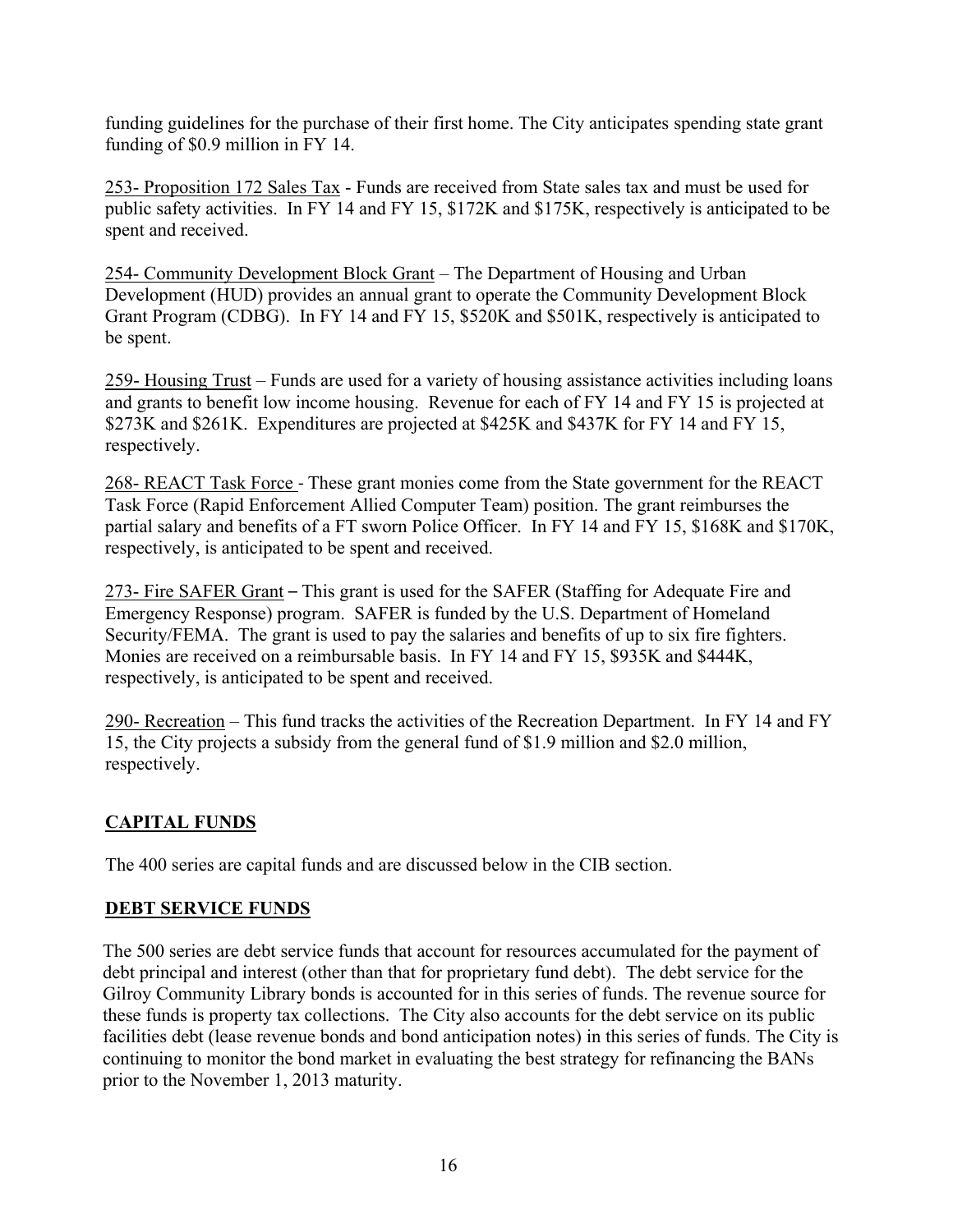funding guidelines for the purchase of their first home. The City anticipates spending state grant funding of \$0.9 million in FY 14.

253- Proposition 172 Sales Tax - Funds are received from State sales tax and must be used for public safety activities. In FY 14 and FY 15, \$172K and \$175K, respectively is anticipated to be spent and received.

254- Community Development Block Grant – The Department of Housing and Urban Development (HUD) provides an annual grant to operate the Community Development Block Grant Program (CDBG). In FY 14 and FY 15, \$520K and \$501K, respectively is anticipated to be spent.

259- Housing Trust – Funds are used for a variety of housing assistance activities including loans and grants to benefit low income housing. Revenue for each of FY 14 and FY 15 is projected at \$273K and \$261K. Expenditures are projected at \$425K and \$437K for FY 14 and FY 15, respectively.

268- REACT Task Force - These grant monies come from the State government for the REACT Task Force (Rapid Enforcement Allied Computer Team) position. The grant reimburses the partial salary and benefits of a FT sworn Police Officer. In FY 14 and FY 15, \$168K and \$170K, respectively, is anticipated to be spent and received.

273- Fire SAFER Grant – This grant is used for the SAFER (Staffing for Adequate Fire and Emergency Response) program. SAFER is funded by the U.S. Department of Homeland Security/FEMA. The grant is used to pay the salaries and benefits of up to six fire fighters. Monies are received on a reimbursable basis. In FY 14 and FY 15, \$935K and \$444K, respectively, is anticipated to be spent and received.

290- Recreation – This fund tracks the activities of the Recreation Department. In FY 14 and FY 15, the City projects a subsidy from the general fund of \$1.9 million and \$2.0 million, respectively.

# **CAPITAL FUNDS**

The 400 series are capital funds and are discussed below in the CIB section.

# **DEBT SERVICE FUNDS**

The 500 series are debt service funds that account for resources accumulated for the payment of debt principal and interest (other than that for proprietary fund debt). The debt service for the Gilroy Community Library bonds is accounted for in this series of funds. The revenue source for these funds is property tax collections. The City also accounts for the debt service on its public facilities debt (lease revenue bonds and bond anticipation notes) in this series of funds. The City is continuing to monitor the bond market in evaluating the best strategy for refinancing the BANs prior to the November 1, 2013 maturity.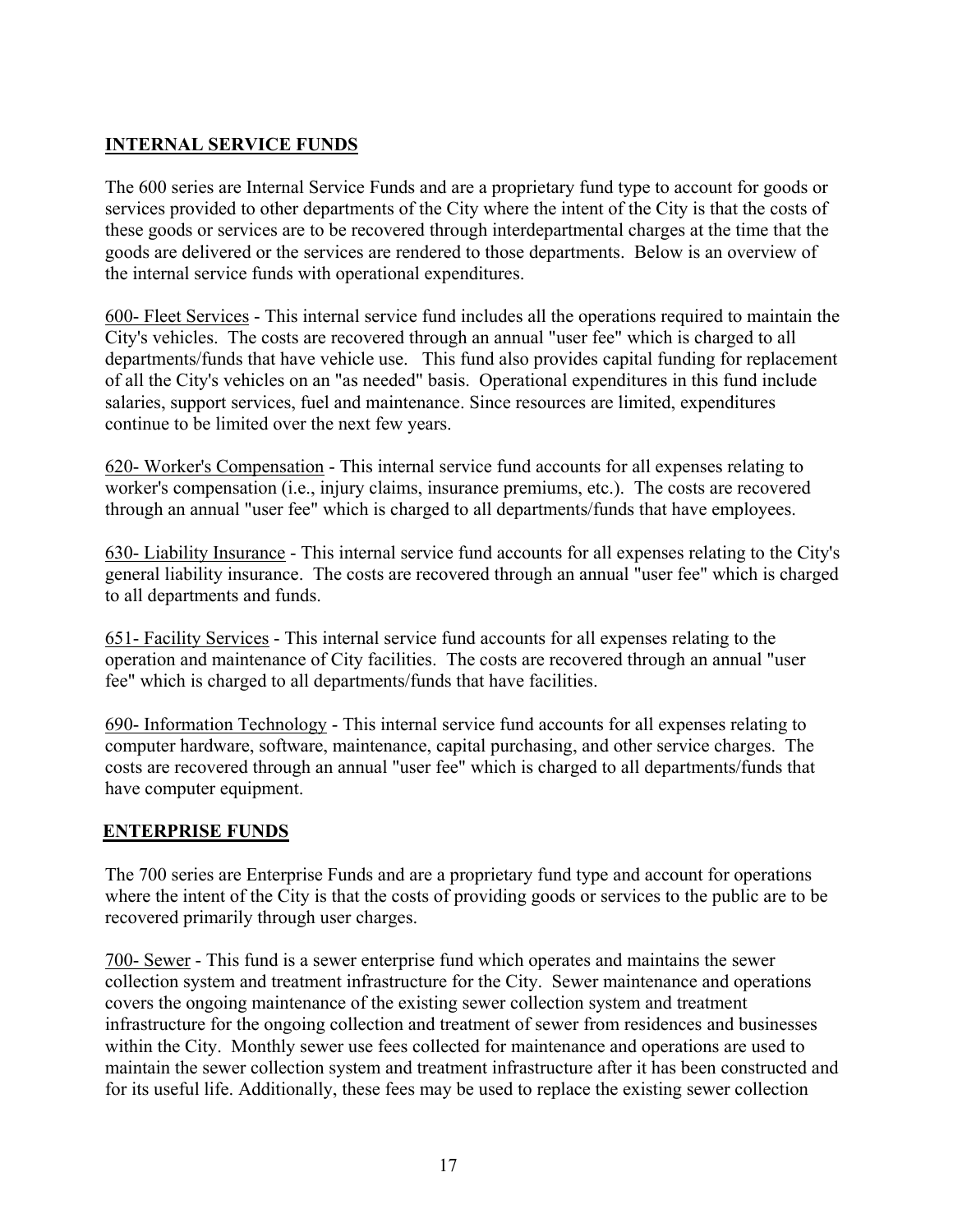# **INTERNAL SERVICE FUNDS**

The 600 series are Internal Service Funds and are a proprietary fund type to account for goods or services provided to other departments of the City where the intent of the City is that the costs of these goods or services are to be recovered through interdepartmental charges at the time that the goods are delivered or the services are rendered to those departments. Below is an overview of the internal service funds with operational expenditures.

600- Fleet Services - This internal service fund includes all the operations required to maintain the City's vehicles. The costs are recovered through an annual "user fee" which is charged to all departments/funds that have vehicle use. This fund also provides capital funding for replacement of all the City's vehicles on an "as needed" basis. Operational expenditures in this fund include salaries, support services, fuel and maintenance. Since resources are limited, expenditures continue to be limited over the next few years.

620- Worker's Compensation - This internal service fund accounts for all expenses relating to worker's compensation (i.e., injury claims, insurance premiums, etc.). The costs are recovered through an annual "user fee" which is charged to all departments/funds that have employees.

630- Liability Insurance - This internal service fund accounts for all expenses relating to the City's general liability insurance. The costs are recovered through an annual "user fee" which is charged to all departments and funds.

651- Facility Services - This internal service fund accounts for all expenses relating to the operation and maintenance of City facilities. The costs are recovered through an annual "user fee" which is charged to all departments/funds that have facilities.

690- Information Technology - This internal service fund accounts for all expenses relating to computer hardware, software, maintenance, capital purchasing, and other service charges. The costs are recovered through an annual "user fee" which is charged to all departments/funds that have computer equipment.

# **ENTERPRISE FUNDS**

The 700 series are Enterprise Funds and are a proprietary fund type and account for operations where the intent of the City is that the costs of providing goods or services to the public are to be recovered primarily through user charges.

700- Sewer - This fund is a sewer enterprise fund which operates and maintains the sewer collection system and treatment infrastructure for the City. Sewer maintenance and operations covers the ongoing maintenance of the existing sewer collection system and treatment infrastructure for the ongoing collection and treatment of sewer from residences and businesses within the City. Monthly sewer use fees collected for maintenance and operations are used to maintain the sewer collection system and treatment infrastructure after it has been constructed and for its useful life. Additionally, these fees may be used to replace the existing sewer collection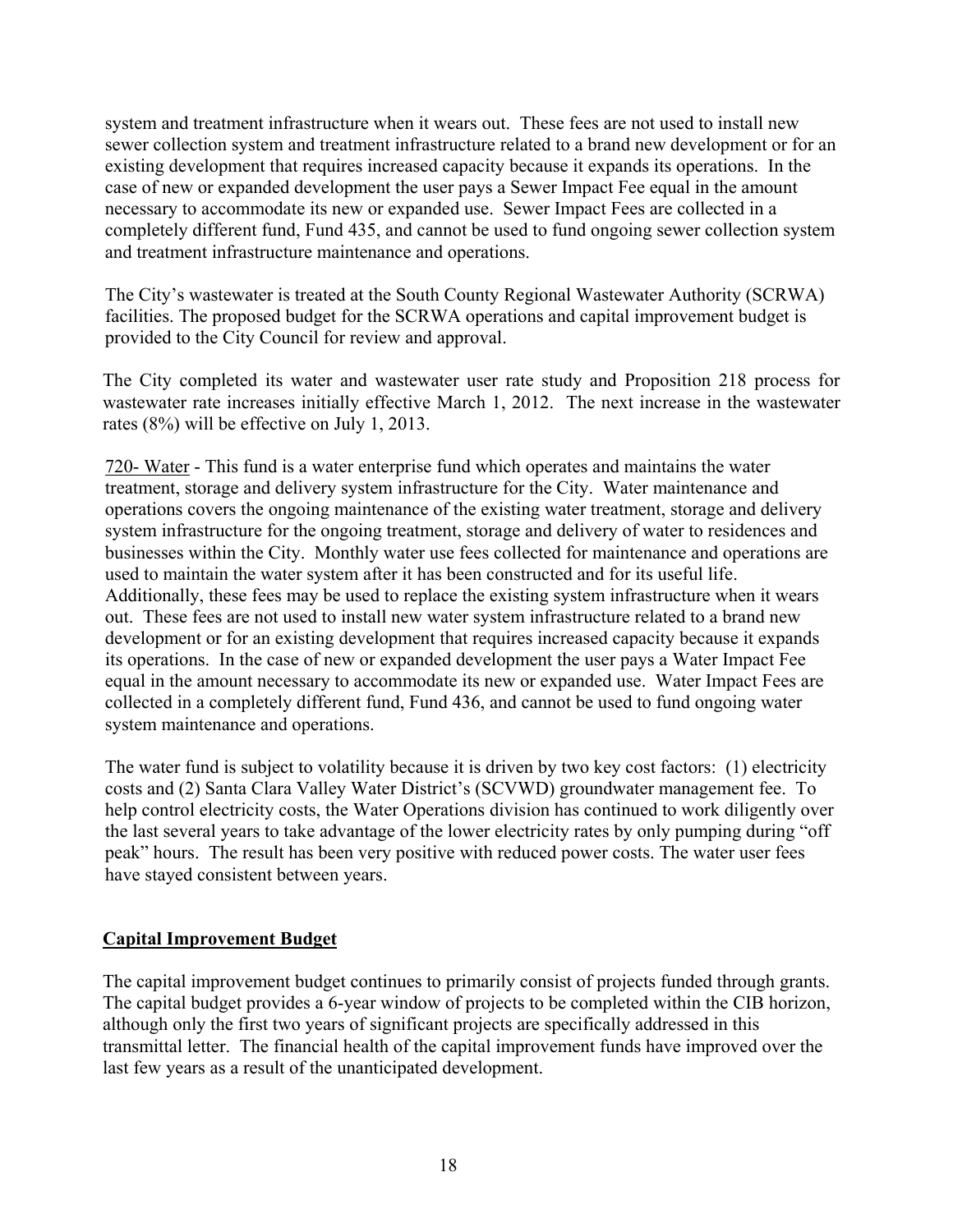system and treatment infrastructure when it wears out. These fees are not used to install new sewer collection system and treatment infrastructure related to a brand new development or for an existing development that requires increased capacity because it expands its operations. In the case of new or expanded development the user pays a Sewer Impact Fee equal in the amount necessary to accommodate its new or expanded use. Sewer Impact Fees are collected in a completely different fund, Fund 435, and cannot be used to fund ongoing sewer collection system and treatment infrastructure maintenance and operations.

The City's wastewater is treated at the South County Regional Wastewater Authority (SCRWA) facilities. The proposed budget for the SCRWA operations and capital improvement budget is provided to the City Council for review and approval.

The City completed its water and wastewater user rate study and Proposition 218 process for wastewater rate increases initially effective March 1, 2012. The next increase in the wastewater rates (8%) will be effective on July 1, 2013.

720- Water - This fund is a water enterprise fund which operates and maintains the water treatment, storage and delivery system infrastructure for the City. Water maintenance and operations covers the ongoing maintenance of the existing water treatment, storage and delivery system infrastructure for the ongoing treatment, storage and delivery of water to residences and businesses within the City. Monthly water use fees collected for maintenance and operations are used to maintain the water system after it has been constructed and for its useful life. Additionally, these fees may be used to replace the existing system infrastructure when it wears out. These fees are not used to install new water system infrastructure related to a brand new development or for an existing development that requires increased capacity because it expands its operations. In the case of new or expanded development the user pays a Water Impact Fee equal in the amount necessary to accommodate its new or expanded use. Water Impact Fees are collected in a completely different fund, Fund 436, and cannot be used to fund ongoing water system maintenance and operations.

The water fund is subject to volatility because it is driven by two key cost factors: (1) electricity costs and (2) Santa Clara Valley Water District's (SCVWD) groundwater management fee. To help control electricity costs, the Water Operations division has continued to work diligently over the last several years to take advantage of the lower electricity rates by only pumping during "off peak" hours. The result has been very positive with reduced power costs. The water user fees have stayed consistent between years.

# **Capital Improvement Budget**

The capital improvement budget continues to primarily consist of projects funded through grants. The capital budget provides a 6-year window of projects to be completed within the CIB horizon, although only the first two years of significant projects are specifically addressed in this transmittal letter. The financial health of the capital improvement funds have improved over the last few years as a result of the unanticipated development.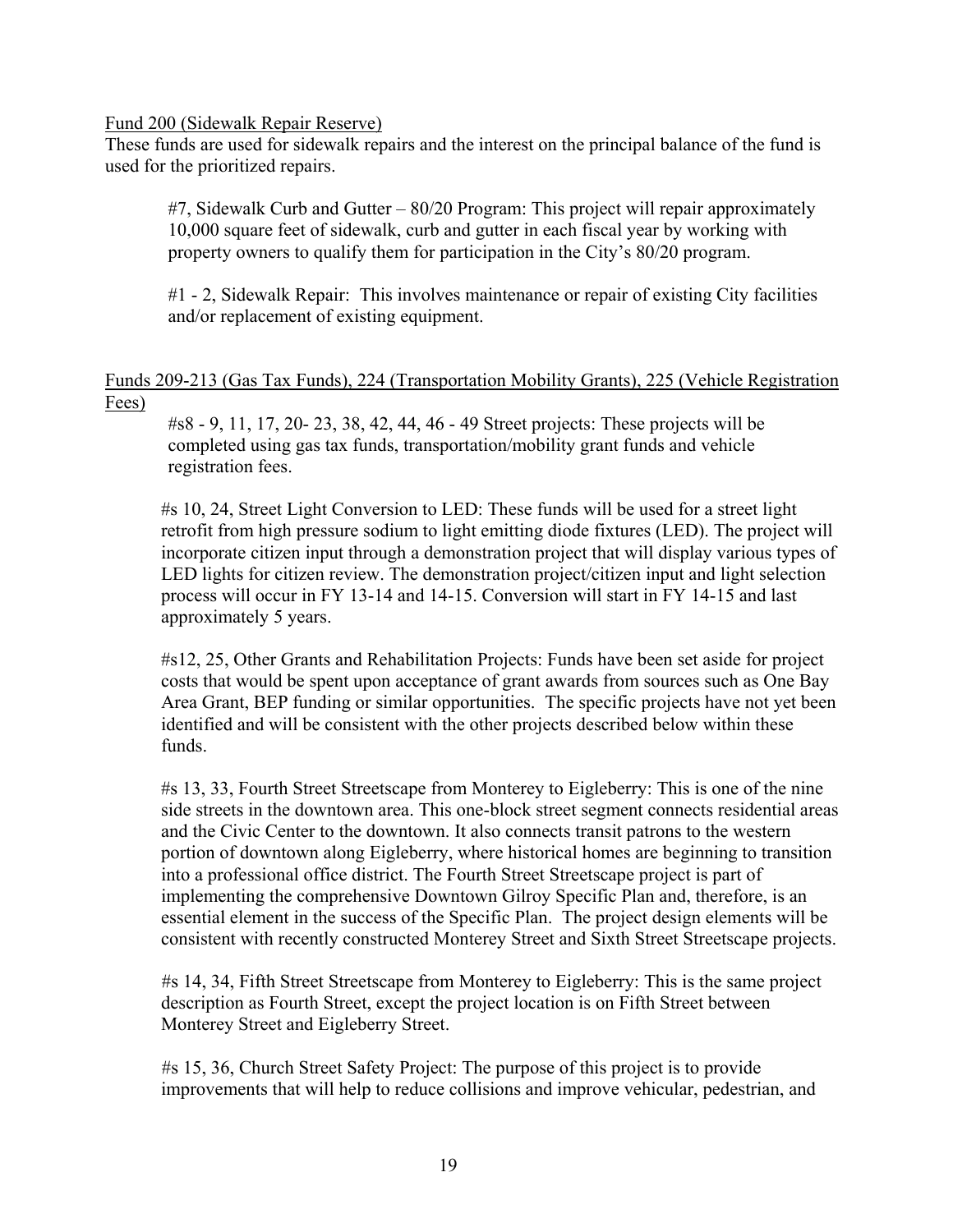#### Fund 200 (Sidewalk Repair Reserve)

These funds are used for sidewalk repairs and the interest on the principal balance of the fund is used for the prioritized repairs.

#7, Sidewalk Curb and Gutter – 80/20 Program: This project will repair approximately 10,000 square feet of sidewalk, curb and gutter in each fiscal year by working with property owners to qualify them for participation in the City's 80/20 program.

#1 - 2, Sidewalk Repair: This involves maintenance or repair of existing City facilities and/or replacement of existing equipment.

## Funds 209-213 (Gas Tax Funds), 224 (Transportation Mobility Grants), 225 (Vehicle Registration Fees)

#s8 - 9, 11, 17, 20- 23, 38, 42, 44, 46 - 49 Street projects: These projects will be completed using gas tax funds, transportation/mobility grant funds and vehicle registration fees.

#s 10, 24, Street Light Conversion to LED: These funds will be used for a street light retrofit from high pressure sodium to light emitting diode fixtures (LED). The project will incorporate citizen input through a demonstration project that will display various types of LED lights for citizen review. The demonstration project/citizen input and light selection process will occur in FY 13-14 and 14-15. Conversion will start in FY 14-15 and last approximately 5 years.

#s12, 25, Other Grants and Rehabilitation Projects: Funds have been set aside for project costs that would be spent upon acceptance of grant awards from sources such as One Bay Area Grant, BEP funding or similar opportunities. The specific projects have not yet been identified and will be consistent with the other projects described below within these funds.

#s 13, 33, Fourth Street Streetscape from Monterey to Eigleberry: This is one of the nine side streets in the downtown area. This one-block street segment connects residential areas and the Civic Center to the downtown. It also connects transit patrons to the western portion of downtown along Eigleberry, where historical homes are beginning to transition into a professional office district. The Fourth Street Streetscape project is part of implementing the comprehensive Downtown Gilroy Specific Plan and, therefore, is an essential element in the success of the Specific Plan. The project design elements will be consistent with recently constructed Monterey Street and Sixth Street Streetscape projects.

#s 14, 34, Fifth Street Streetscape from Monterey to Eigleberry: This is the same project description as Fourth Street, except the project location is on Fifth Street between Monterey Street and Eigleberry Street.

#s 15, 36, Church Street Safety Project: The purpose of this project is to provide improvements that will help to reduce collisions and improve vehicular, pedestrian, and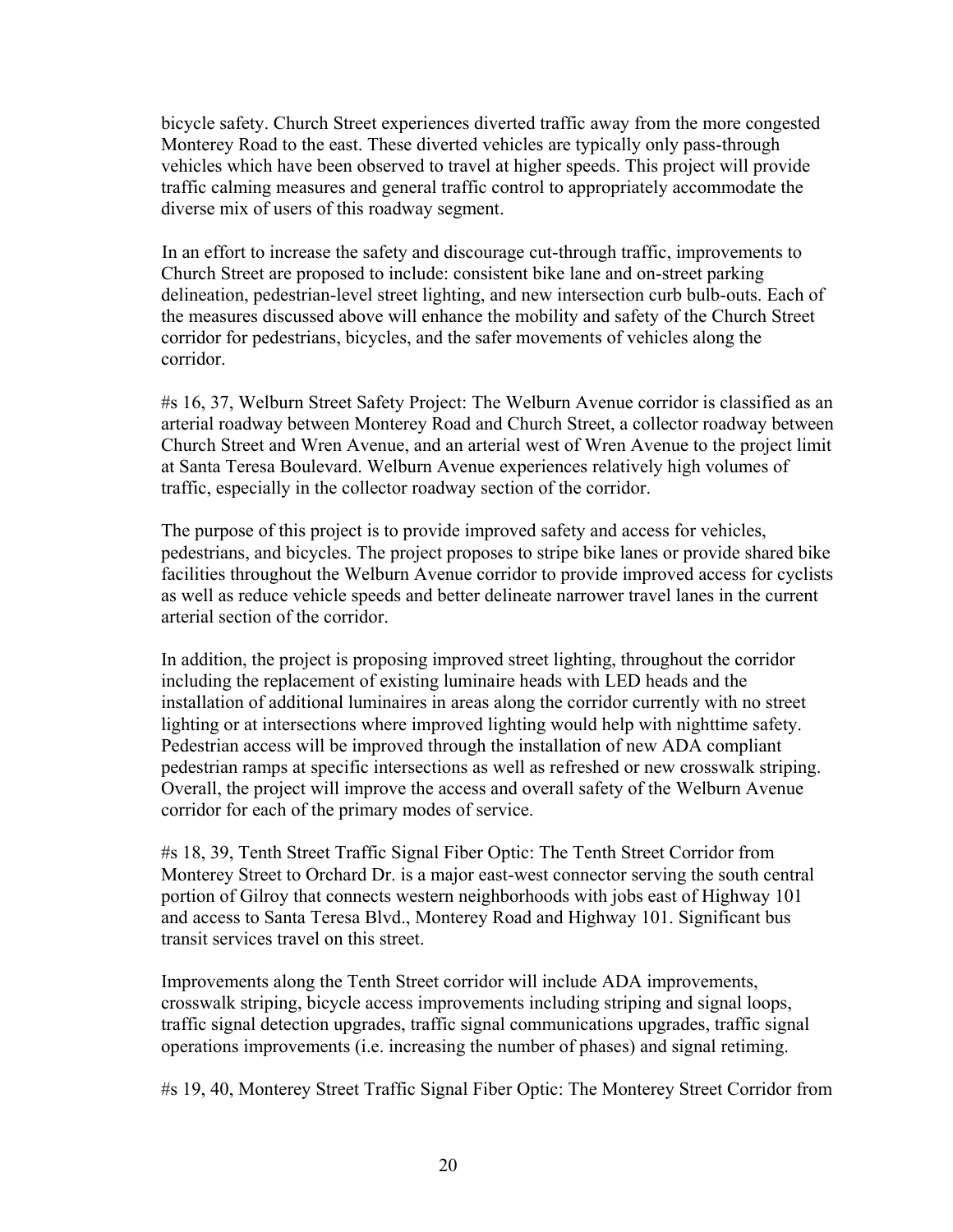bicycle safety. Church Street experiences diverted traffic away from the more congested Monterey Road to the east. These diverted vehicles are typically only pass-through vehicles which have been observed to travel at higher speeds. This project will provide traffic calming measures and general traffic control to appropriately accommodate the diverse mix of users of this roadway segment.

In an effort to increase the safety and discourage cut-through traffic, improvements to Church Street are proposed to include: consistent bike lane and on-street parking delineation, pedestrian-level street lighting, and new intersection curb bulb-outs. Each of the measures discussed above will enhance the mobility and safety of the Church Street corridor for pedestrians, bicycles, and the safer movements of vehicles along the corridor.

#s 16, 37, Welburn Street Safety Project: The Welburn Avenue corridor is classified as an arterial roadway between Monterey Road and Church Street, a collector roadway between Church Street and Wren Avenue, and an arterial west of Wren Avenue to the project limit at Santa Teresa Boulevard. Welburn Avenue experiences relatively high volumes of traffic, especially in the collector roadway section of the corridor.

The purpose of this project is to provide improved safety and access for vehicles, pedestrians, and bicycles. The project proposes to stripe bike lanes or provide shared bike facilities throughout the Welburn Avenue corridor to provide improved access for cyclists as well as reduce vehicle speeds and better delineate narrower travel lanes in the current arterial section of the corridor.

In addition, the project is proposing improved street lighting, throughout the corridor including the replacement of existing luminaire heads with LED heads and the installation of additional luminaires in areas along the corridor currently with no street lighting or at intersections where improved lighting would help with nighttime safety. Pedestrian access will be improved through the installation of new ADA compliant pedestrian ramps at specific intersections as well as refreshed or new crosswalk striping. Overall, the project will improve the access and overall safety of the Welburn Avenue corridor for each of the primary modes of service.

#s 18, 39, Tenth Street Traffic Signal Fiber Optic: The Tenth Street Corridor from Monterey Street to Orchard Dr. is a major east-west connector serving the south central portion of Gilroy that connects western neighborhoods with jobs east of Highway 101 and access to Santa Teresa Blvd., Monterey Road and Highway 101. Significant bus transit services travel on this street.

Improvements along the Tenth Street corridor will include ADA improvements, crosswalk striping, bicycle access improvements including striping and signal loops, traffic signal detection upgrades, traffic signal communications upgrades, traffic signal operations improvements (i.e. increasing the number of phases) and signal retiming.

#s 19, 40, Monterey Street Traffic Signal Fiber Optic: The Monterey Street Corridor from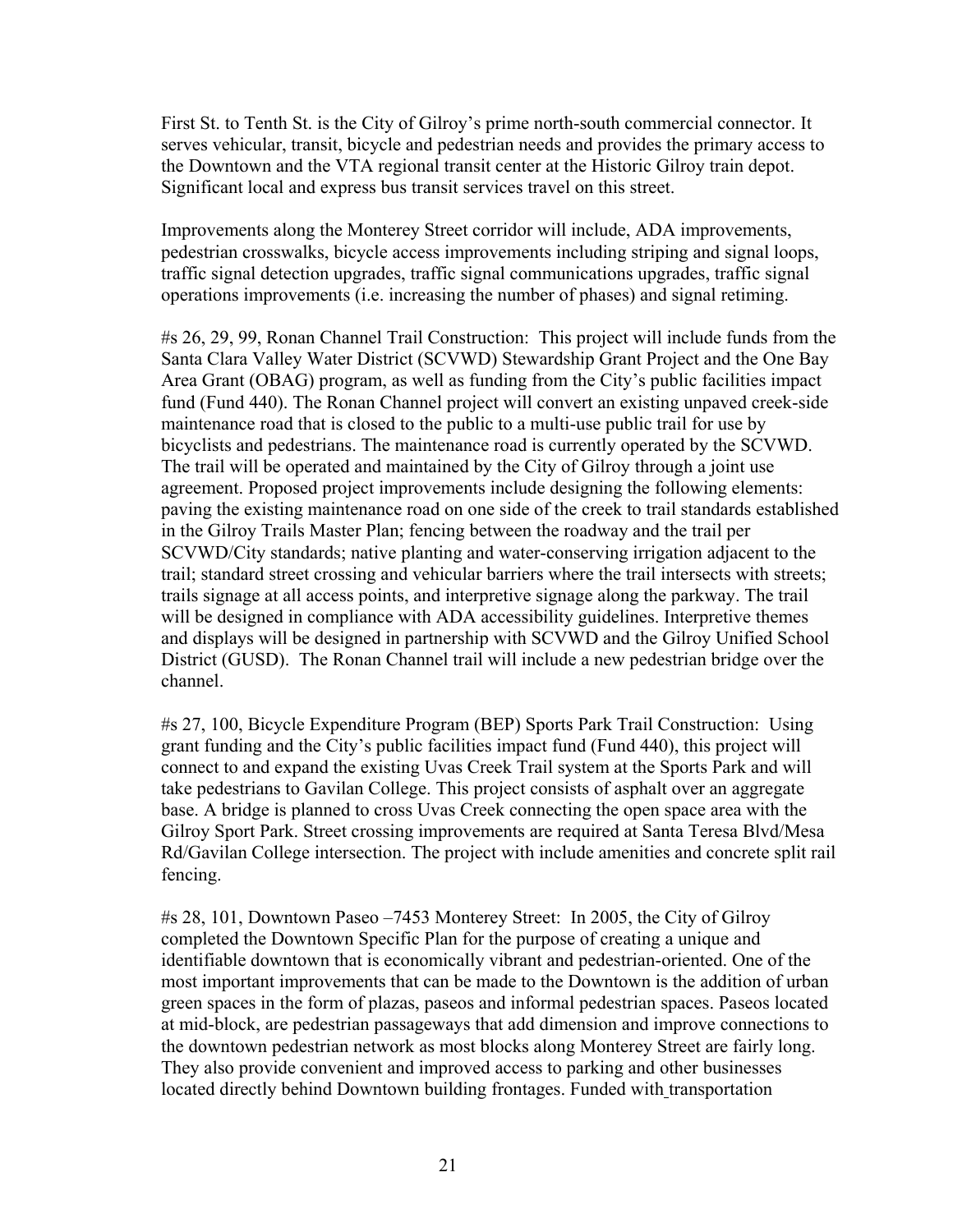First St. to Tenth St. is the City of Gilroy's prime north-south commercial connector. It serves vehicular, transit, bicycle and pedestrian needs and provides the primary access to the Downtown and the VTA regional transit center at the Historic Gilroy train depot. Significant local and express bus transit services travel on this street.

Improvements along the Monterey Street corridor will include, ADA improvements, pedestrian crosswalks, bicycle access improvements including striping and signal loops, traffic signal detection upgrades, traffic signal communications upgrades, traffic signal operations improvements (i.e. increasing the number of phases) and signal retiming.

#s 26, 29, 99, Ronan Channel Trail Construction: This project will include funds from the Santa Clara Valley Water District (SCVWD) Stewardship Grant Project and the One Bay Area Grant (OBAG) program, as well as funding from the City's public facilities impact fund (Fund 440). The Ronan Channel project will convert an existing unpaved creek-side maintenance road that is closed to the public to a multi-use public trail for use by bicyclists and pedestrians. The maintenance road is currently operated by the SCVWD. The trail will be operated and maintained by the City of Gilroy through a joint use agreement. Proposed project improvements include designing the following elements: paving the existing maintenance road on one side of the creek to trail standards established in the Gilroy Trails Master Plan; fencing between the roadway and the trail per SCVWD/City standards; native planting and water-conserving irrigation adjacent to the trail; standard street crossing and vehicular barriers where the trail intersects with streets; trails signage at all access points, and interpretive signage along the parkway. The trail will be designed in compliance with ADA accessibility guidelines. Interpretive themes and displays will be designed in partnership with SCVWD and the Gilroy Unified School District (GUSD). The Ronan Channel trail will include a new pedestrian bridge over the channel.

#s 27, 100, Bicycle Expenditure Program (BEP) Sports Park Trail Construction: Using grant funding and the City's public facilities impact fund (Fund 440), this project will connect to and expand the existing Uvas Creek Trail system at the Sports Park and will take pedestrians to Gavilan College. This project consists of asphalt over an aggregate base. A bridge is planned to cross Uvas Creek connecting the open space area with the Gilroy Sport Park. Street crossing improvements are required at Santa Teresa Blvd/Mesa Rd/Gavilan College intersection. The project with include amenities and concrete split rail fencing.

#s 28, 101, Downtown Paseo –7453 Monterey Street: In 2005, the City of Gilroy completed the Downtown Specific Plan for the purpose of creating a unique and identifiable downtown that is economically vibrant and pedestrian-oriented. One of the most important improvements that can be made to the Downtown is the addition of urban green spaces in the form of plazas, paseos and informal pedestrian spaces. Paseos located at mid-block, are pedestrian passageways that add dimension and improve connections to the downtown pedestrian network as most blocks along Monterey Street are fairly long. They also provide convenient and improved access to parking and other businesses located directly behind Downtown building frontages. Funded with transportation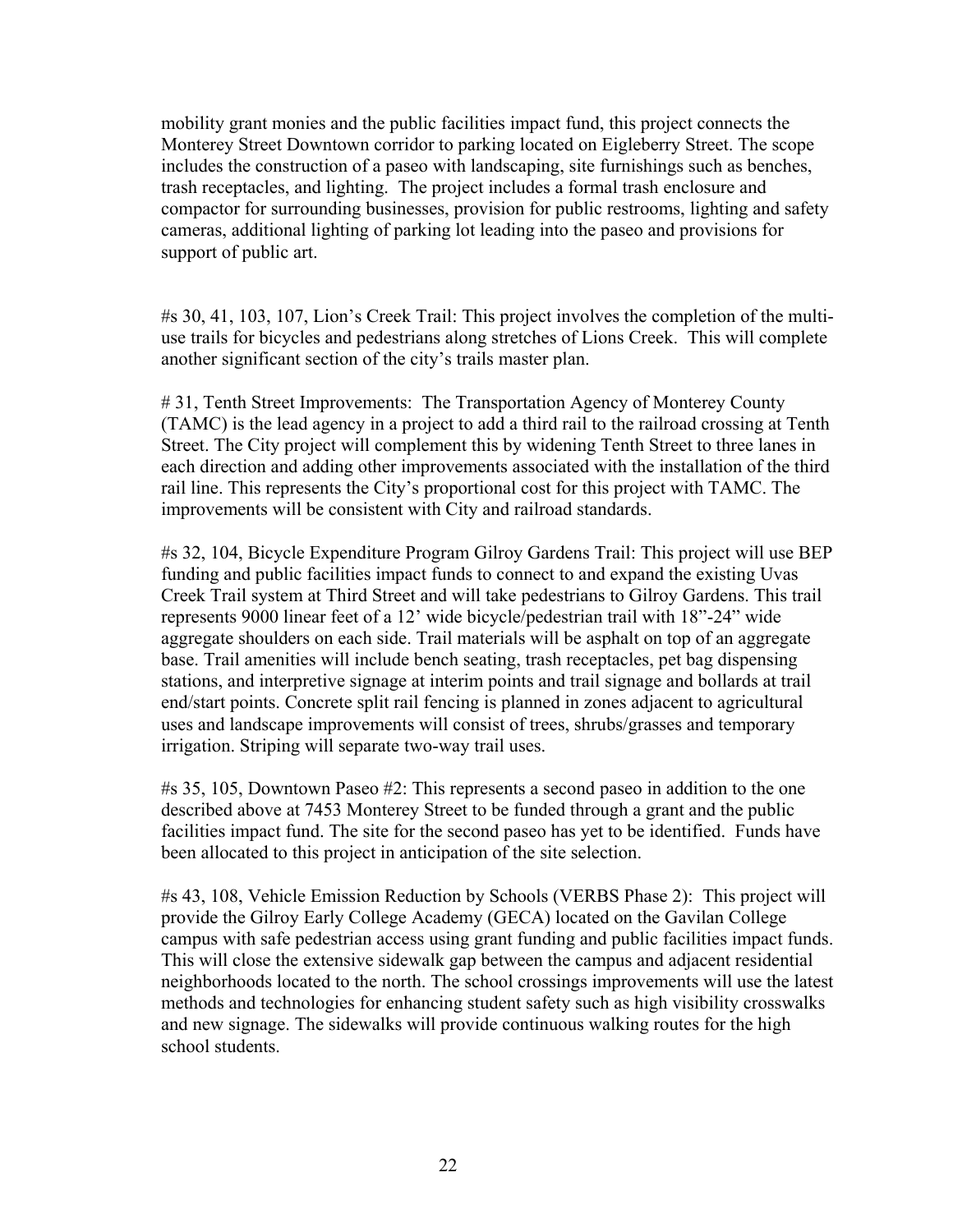mobility grant monies and the public facilities impact fund, this project connects the Monterey Street Downtown corridor to parking located on Eigleberry Street. The scope includes the construction of a paseo with landscaping, site furnishings such as benches, trash receptacles, and lighting. The project includes a formal trash enclosure and compactor for surrounding businesses, provision for public restrooms, lighting and safety cameras, additional lighting of parking lot leading into the paseo and provisions for support of public art.

#s 30, 41, 103, 107, Lion's Creek Trail: This project involves the completion of the multiuse trails for bicycles and pedestrians along stretches of Lions Creek. This will complete another significant section of the city's trails master plan.

# 31, Tenth Street Improvements: The Transportation Agency of Monterey County (TAMC) is the lead agency in a project to add a third rail to the railroad crossing at Tenth Street. The City project will complement this by widening Tenth Street to three lanes in each direction and adding other improvements associated with the installation of the third rail line. This represents the City's proportional cost for this project with TAMC. The improvements will be consistent with City and railroad standards.

#s 32, 104, Bicycle Expenditure Program Gilroy Gardens Trail: This project will use BEP funding and public facilities impact funds to connect to and expand the existing Uvas Creek Trail system at Third Street and will take pedestrians to Gilroy Gardens. This trail represents 9000 linear feet of a 12' wide bicycle/pedestrian trail with 18"-24" wide aggregate shoulders on each side. Trail materials will be asphalt on top of an aggregate base. Trail amenities will include bench seating, trash receptacles, pet bag dispensing stations, and interpretive signage at interim points and trail signage and bollards at trail end/start points. Concrete split rail fencing is planned in zones adjacent to agricultural uses and landscape improvements will consist of trees, shrubs/grasses and temporary irrigation. Striping will separate two-way trail uses.

#s 35, 105, Downtown Paseo #2: This represents a second paseo in addition to the one described above at 7453 Monterey Street to be funded through a grant and the public facilities impact fund. The site for the second paseo has yet to be identified. Funds have been allocated to this project in anticipation of the site selection.

#s 43, 108, Vehicle Emission Reduction by Schools (VERBS Phase 2): This project will provide the Gilroy Early College Academy (GECA) located on the Gavilan College campus with safe pedestrian access using grant funding and public facilities impact funds. This will close the extensive sidewalk gap between the campus and adjacent residential neighborhoods located to the north. The school crossings improvements will use the latest methods and technologies for enhancing student safety such as high visibility crosswalks and new signage. The sidewalks will provide continuous walking routes for the high school students.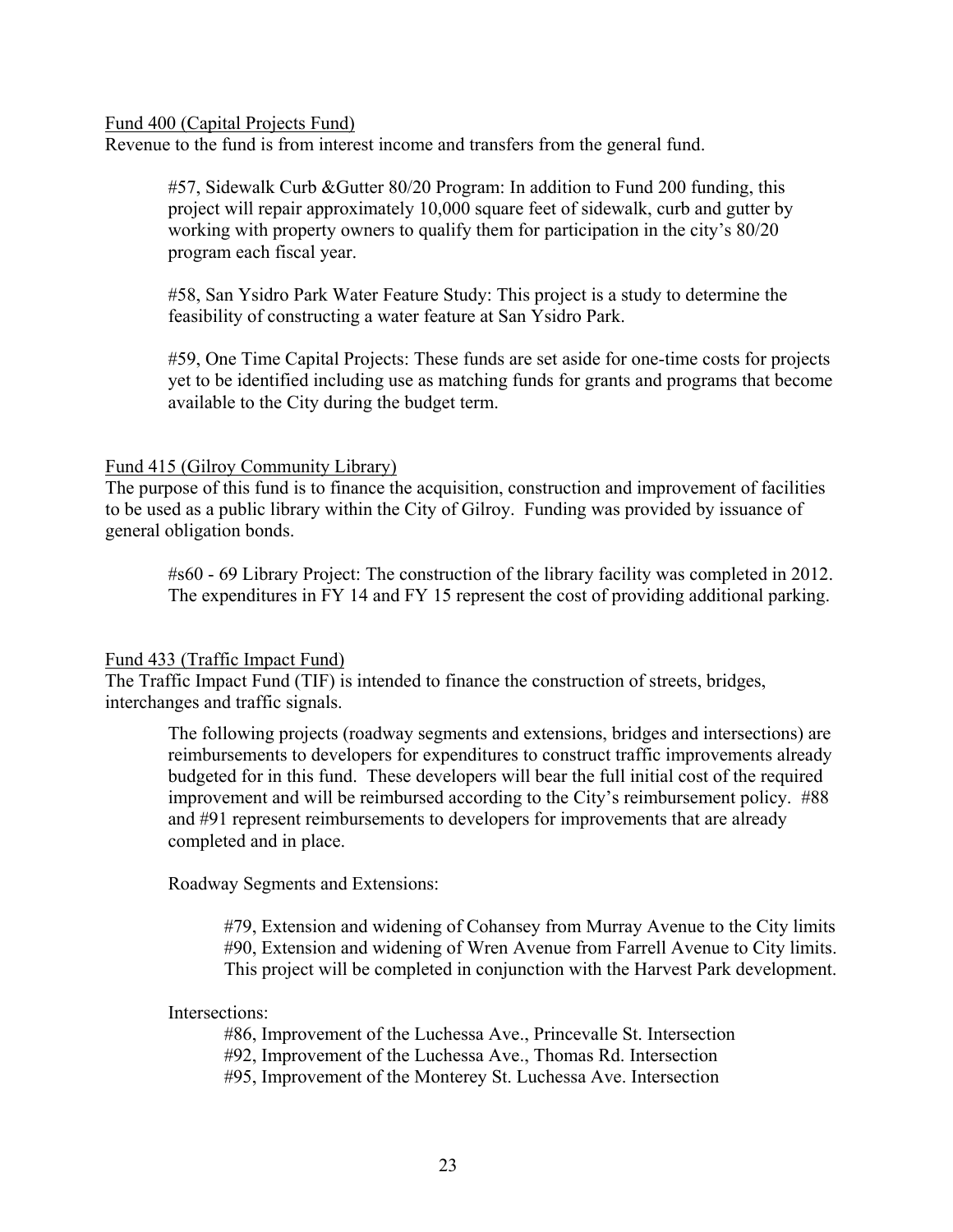#### Fund 400 (Capital Projects Fund)

Revenue to the fund is from interest income and transfers from the general fund.

#57, Sidewalk Curb &Gutter 80/20 Program: In addition to Fund 200 funding, this project will repair approximately 10,000 square feet of sidewalk, curb and gutter by working with property owners to qualify them for participation in the city's 80/20 program each fiscal year.

#58, San Ysidro Park Water Feature Study: This project is a study to determine the feasibility of constructing a water feature at San Ysidro Park.

#59, One Time Capital Projects: These funds are set aside for one-time costs for projects yet to be identified including use as matching funds for grants and programs that become available to the City during the budget term.

#### Fund 415 (Gilroy Community Library)

The purpose of this fund is to finance the acquisition, construction and improvement of facilities to be used as a public library within the City of Gilroy. Funding was provided by issuance of general obligation bonds.

#s60 - 69 Library Project: The construction of the library facility was completed in 2012. The expenditures in FY 14 and FY 15 represent the cost of providing additional parking.

#### Fund 433 (Traffic Impact Fund)

The Traffic Impact Fund (TIF) is intended to finance the construction of streets, bridges, interchanges and traffic signals.

The following projects (roadway segments and extensions, bridges and intersections) are reimbursements to developers for expenditures to construct traffic improvements already budgeted for in this fund. These developers will bear the full initial cost of the required improvement and will be reimbursed according to the City's reimbursement policy. #88 and #91 represent reimbursements to developers for improvements that are already completed and in place.

Roadway Segments and Extensions:

#79, Extension and widening of Cohansey from Murray Avenue to the City limits #90, Extension and widening of Wren Avenue from Farrell Avenue to City limits. This project will be completed in conjunction with the Harvest Park development.

#### Intersections:

#86, Improvement of the Luchessa Ave., Princevalle St. Intersection #92, Improvement of the Luchessa Ave., Thomas Rd. Intersection #95, Improvement of the Monterey St. Luchessa Ave. Intersection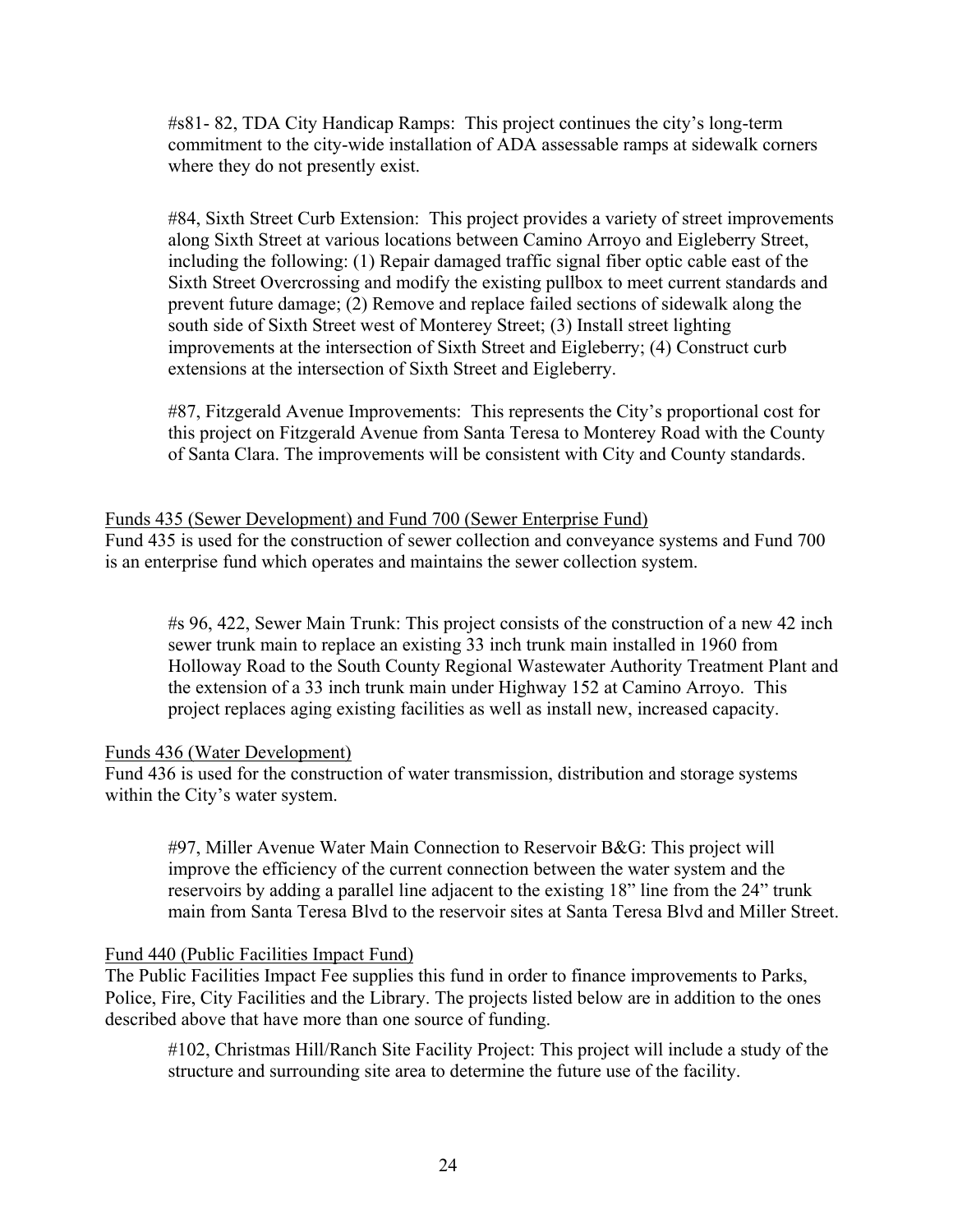#s81- 82, TDA City Handicap Ramps: This project continues the city's long-term commitment to the city-wide installation of ADA assessable ramps at sidewalk corners where they do not presently exist.

#84, Sixth Street Curb Extension: This project provides a variety of street improvements along Sixth Street at various locations between Camino Arroyo and Eigleberry Street, including the following: (1) Repair damaged traffic signal fiber optic cable east of the Sixth Street Overcrossing and modify the existing pullbox to meet current standards and prevent future damage; (2) Remove and replace failed sections of sidewalk along the south side of Sixth Street west of Monterey Street; (3) Install street lighting improvements at the intersection of Sixth Street and Eigleberry; (4) Construct curb extensions at the intersection of Sixth Street and Eigleberry.

#87, Fitzgerald Avenue Improvements: This represents the City's proportional cost for this project on Fitzgerald Avenue from Santa Teresa to Monterey Road with the County of Santa Clara. The improvements will be consistent with City and County standards.

## Funds 435 (Sewer Development) and Fund 700 (Sewer Enterprise Fund)

Fund 435 is used for the construction of sewer collection and conveyance systems and Fund 700 is an enterprise fund which operates and maintains the sewer collection system.

#s 96, 422, Sewer Main Trunk: This project consists of the construction of a new 42 inch sewer trunk main to replace an existing 33 inch trunk main installed in 1960 from Holloway Road to the South County Regional Wastewater Authority Treatment Plant and the extension of a 33 inch trunk main under Highway 152 at Camino Arroyo. This project replaces aging existing facilities as well as install new, increased capacity.

#### Funds 436 (Water Development)

Fund 436 is used for the construction of water transmission, distribution and storage systems within the City's water system.

#97, Miller Avenue Water Main Connection to Reservoir B&G: This project will improve the efficiency of the current connection between the water system and the reservoirs by adding a parallel line adjacent to the existing 18" line from the 24" trunk main from Santa Teresa Blvd to the reservoir sites at Santa Teresa Blvd and Miller Street.

# Fund 440 (Public Facilities Impact Fund)

The Public Facilities Impact Fee supplies this fund in order to finance improvements to Parks, Police, Fire, City Facilities and the Library. The projects listed below are in addition to the ones described above that have more than one source of funding.

#102, Christmas Hill/Ranch Site Facility Project: This project will include a study of the structure and surrounding site area to determine the future use of the facility.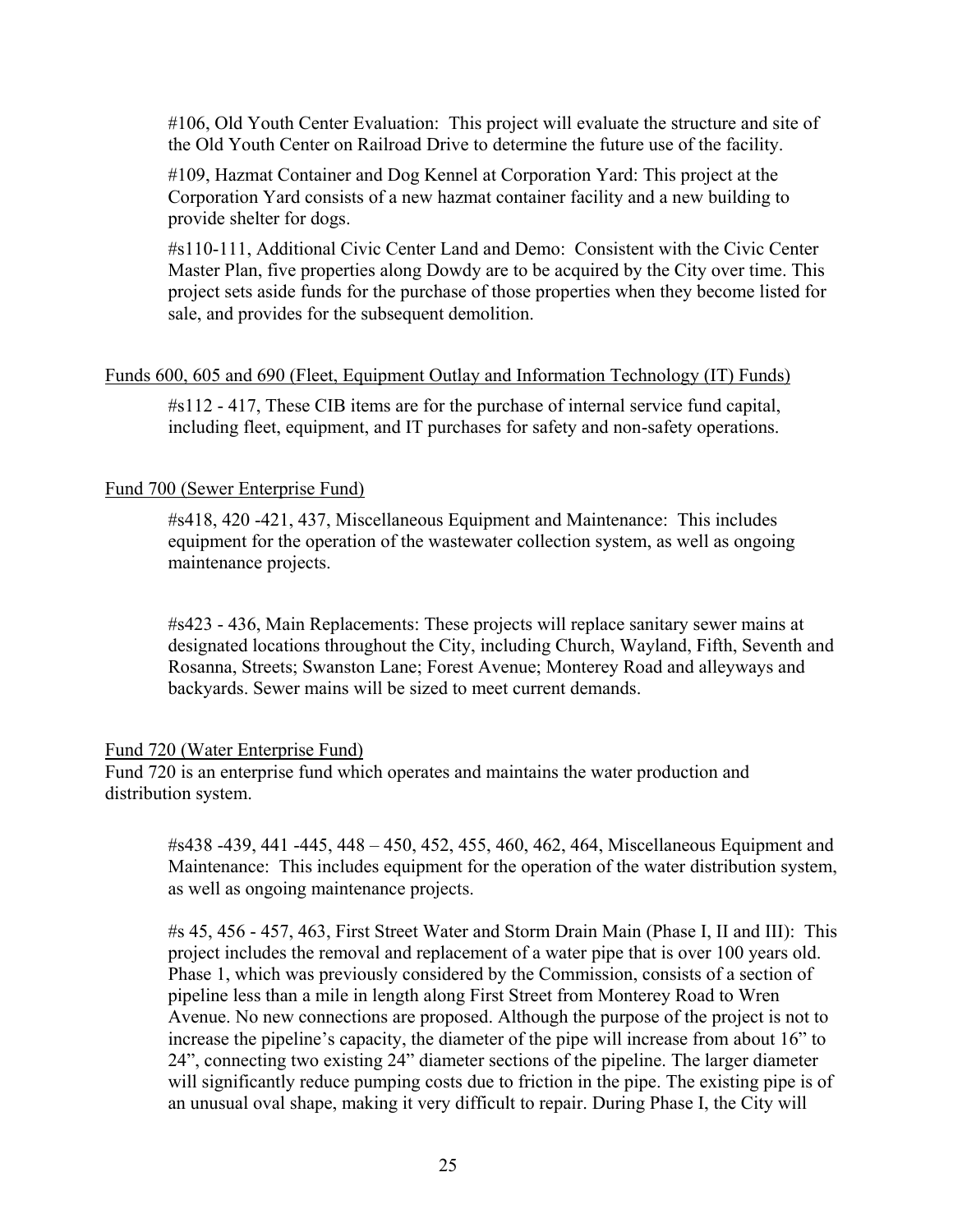#106, Old Youth Center Evaluation: This project will evaluate the structure and site of the Old Youth Center on Railroad Drive to determine the future use of the facility.

#109, Hazmat Container and Dog Kennel at Corporation Yard: This project at the Corporation Yard consists of a new hazmat container facility and a new building to provide shelter for dogs.

#s110-111, Additional Civic Center Land and Demo: Consistent with the Civic Center Master Plan, five properties along Dowdy are to be acquired by the City over time. This project sets aside funds for the purchase of those properties when they become listed for sale, and provides for the subsequent demolition.

## Funds 600, 605 and 690 (Fleet, Equipment Outlay and Information Technology (IT) Funds)

#s112 - 417, These CIB items are for the purchase of internal service fund capital, including fleet, equipment, and IT purchases for safety and non-safety operations.

## Fund 700 (Sewer Enterprise Fund)

#s418, 420 -421, 437, Miscellaneous Equipment and Maintenance: This includes equipment for the operation of the wastewater collection system, as well as ongoing maintenance projects.

#s423 - 436, Main Replacements: These projects will replace sanitary sewer mains at designated locations throughout the City, including Church, Wayland, Fifth, Seventh and Rosanna, Streets; Swanston Lane; Forest Avenue; Monterey Road and alleyways and backyards. Sewer mains will be sized to meet current demands.

#### Fund 720 (Water Enterprise Fund)

Fund 720 is an enterprise fund which operates and maintains the water production and distribution system.

#s438 -439, 441 -445, 448 – 450, 452, 455, 460, 462, 464, Miscellaneous Equipment and Maintenance: This includes equipment for the operation of the water distribution system, as well as ongoing maintenance projects.

#s 45, 456 - 457, 463, First Street Water and Storm Drain Main (Phase I, II and III): This project includes the removal and replacement of a water pipe that is over 100 years old. Phase 1, which was previously considered by the Commission, consists of a section of pipeline less than a mile in length along First Street from Monterey Road to Wren Avenue. No new connections are proposed. Although the purpose of the project is not to increase the pipeline's capacity, the diameter of the pipe will increase from about 16" to 24", connecting two existing 24" diameter sections of the pipeline. The larger diameter will significantly reduce pumping costs due to friction in the pipe. The existing pipe is of an unusual oval shape, making it very difficult to repair. During Phase I, the City will